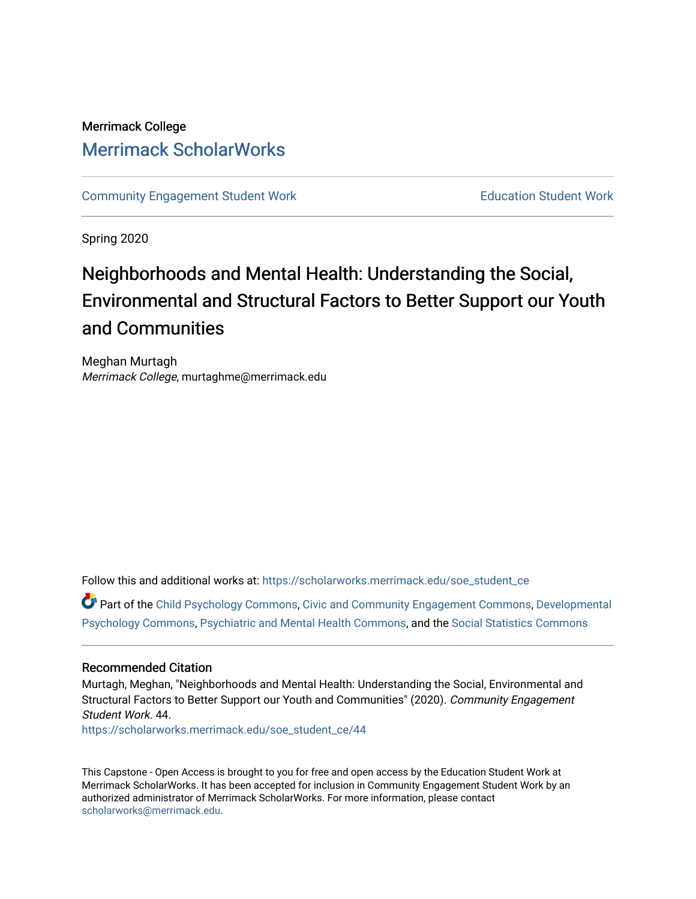# Merrimack College [Merrimack ScholarWorks](https://scholarworks.merrimack.edu/)

[Community Engagement Student Work](https://scholarworks.merrimack.edu/soe_student_ce) **Education Student Work** Education Student Work

Spring 2020

# Neighborhoods and Mental Health: Understanding the Social, Environmental and Structural Factors to Better Support our Youth and Communities

Meghan Murtagh Merrimack College, murtaghme@merrimack.edu

Follow this and additional works at: [https://scholarworks.merrimack.edu/soe\\_student\\_ce](https://scholarworks.merrimack.edu/soe_student_ce?utm_source=scholarworks.merrimack.edu%2Fsoe_student_ce%2F44&utm_medium=PDF&utm_campaign=PDFCoverPages) 

Part of the [Child Psychology Commons,](http://network.bepress.com/hgg/discipline/1023?utm_source=scholarworks.merrimack.edu%2Fsoe_student_ce%2F44&utm_medium=PDF&utm_campaign=PDFCoverPages) [Civic and Community Engagement Commons,](http://network.bepress.com/hgg/discipline/1028?utm_source=scholarworks.merrimack.edu%2Fsoe_student_ce%2F44&utm_medium=PDF&utm_campaign=PDFCoverPages) [Developmental](http://network.bepress.com/hgg/discipline/410?utm_source=scholarworks.merrimack.edu%2Fsoe_student_ce%2F44&utm_medium=PDF&utm_campaign=PDFCoverPages) [Psychology Commons,](http://network.bepress.com/hgg/discipline/410?utm_source=scholarworks.merrimack.edu%2Fsoe_student_ce%2F44&utm_medium=PDF&utm_campaign=PDFCoverPages) [Psychiatric and Mental Health Commons](http://network.bepress.com/hgg/discipline/711?utm_source=scholarworks.merrimack.edu%2Fsoe_student_ce%2F44&utm_medium=PDF&utm_campaign=PDFCoverPages), and the [Social Statistics Commons](http://network.bepress.com/hgg/discipline/1275?utm_source=scholarworks.merrimack.edu%2Fsoe_student_ce%2F44&utm_medium=PDF&utm_campaign=PDFCoverPages)

# Recommended Citation

Murtagh, Meghan, "Neighborhoods and Mental Health: Understanding the Social, Environmental and Structural Factors to Better Support our Youth and Communities" (2020). Community Engagement Student Work. 44.

[https://scholarworks.merrimack.edu/soe\\_student\\_ce/44](https://scholarworks.merrimack.edu/soe_student_ce/44?utm_source=scholarworks.merrimack.edu%2Fsoe_student_ce%2F44&utm_medium=PDF&utm_campaign=PDFCoverPages)

This Capstone - Open Access is brought to you for free and open access by the Education Student Work at Merrimack ScholarWorks. It has been accepted for inclusion in Community Engagement Student Work by an authorized administrator of Merrimack ScholarWorks. For more information, please contact [scholarworks@merrimack.edu](mailto:scholarworks@merrimack.edu).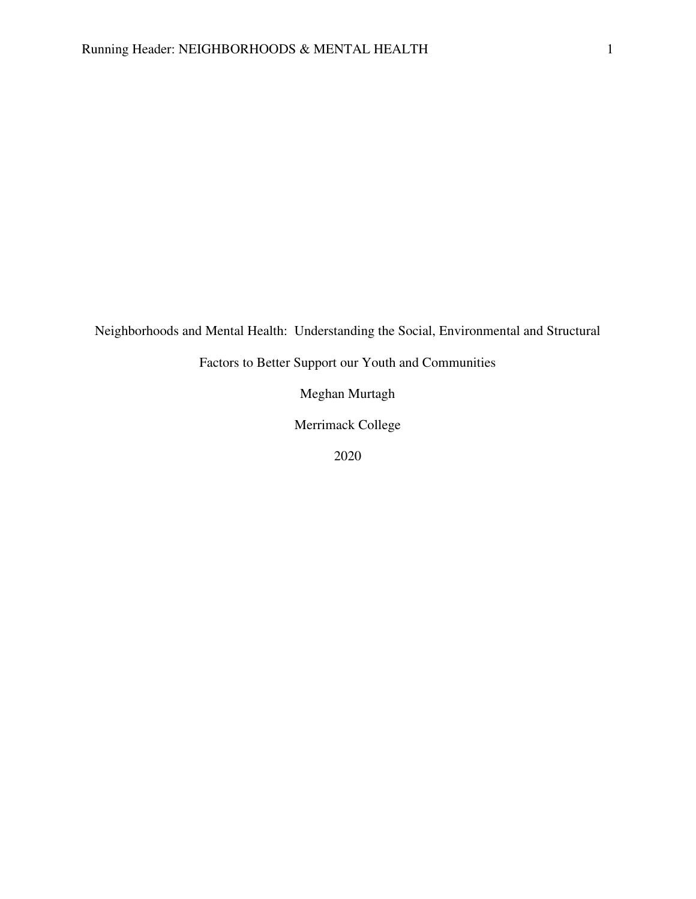Neighborhoods and Mental Health: Understanding the Social, Environmental and Structural

Factors to Better Support our Youth and Communities

Meghan Murtagh

Merrimack College

2020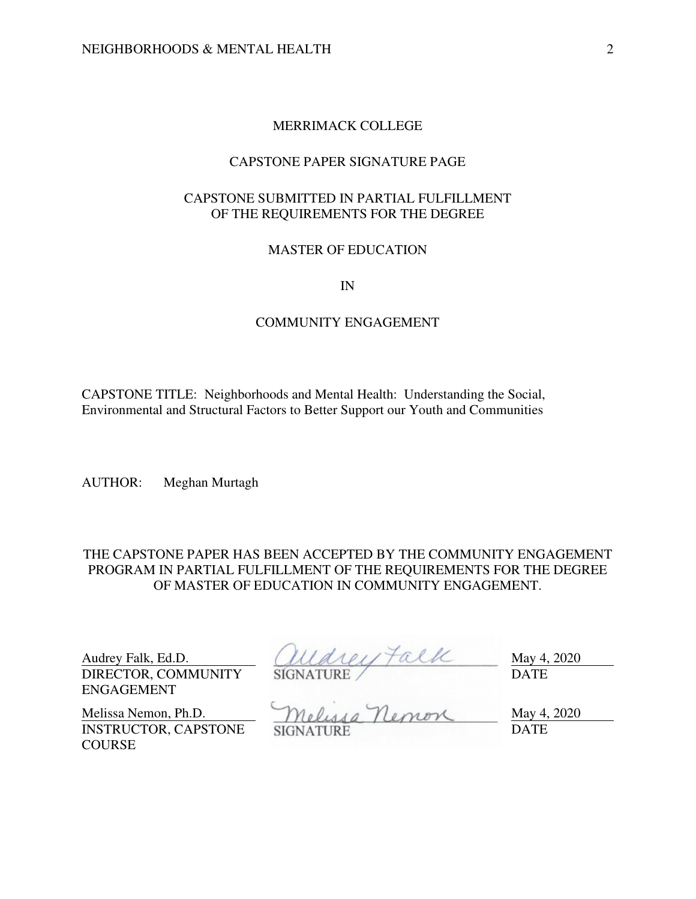# MERRIMACK COLLEGE

# CAPSTONE PAPER SIGNATURE PAGE

# CAPSTONE SUBMITTED IN PARTIAL FULFILLMENT OF THE REQUIREMENTS FOR THE DEGREE

# MASTER OF EDUCATION

IN

# COMMUNITY ENGAGEMENT

CAPSTONE TITLE: Neighborhoods and Mental Health: Understanding the Social, Environmental and Structural Factors to Better Support our Youth and Communities

AUTHOR: Meghan Murtagh

THE CAPSTONE PAPER HAS BEEN ACCEPTED BY THE COMMUNITY ENGAGEMENT PROGRAM IN PARTIAL FULFILLMENT OF THE REQUIREMENTS FOR THE DEGREE OF MASTER OF EDUCATION IN COMMUNITY ENGAGEMENT.

DIRECTOR, COMMUNITY ENGAGEMENT

Audrey Falk, Ed.D.  $(111a1e1) \uparrow a11c$  May 4, 2020 SIGNATURE / DATE

INSTRUCTOR, CAPSTONE **COURSE** 

Melissa Nemon, Ph.D. Melussa Nemon May 4, 2020 SIGNATURE DATE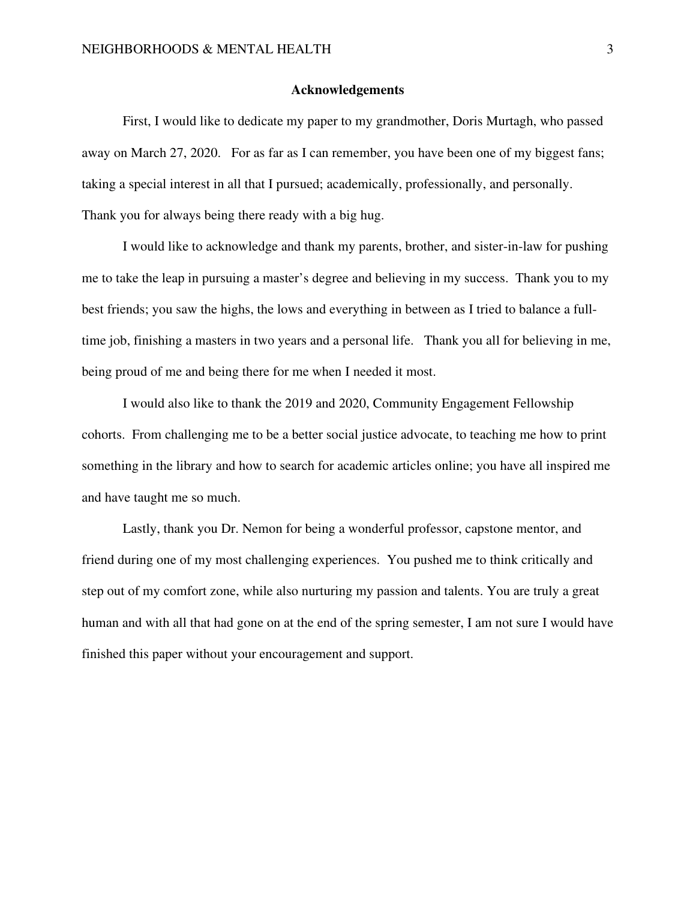# **Acknowledgements**

 First, I would like to dedicate my paper to my grandmother, Doris Murtagh, who passed away on March 27, 2020. For as far as I can remember, you have been one of my biggest fans; taking a special interest in all that I pursued; academically, professionally, and personally. Thank you for always being there ready with a big hug.

 I would like to acknowledge and thank my parents, brother, and sister-in-law for pushing me to take the leap in pursuing a master's degree and believing in my success. Thank you to my best friends; you saw the highs, the lows and everything in between as I tried to balance a fulltime job, finishing a masters in two years and a personal life. Thank you all for believing in me, being proud of me and being there for me when I needed it most.

 I would also like to thank the 2019 and 2020, Community Engagement Fellowship cohorts. From challenging me to be a better social justice advocate, to teaching me how to print something in the library and how to search for academic articles online; you have all inspired me and have taught me so much.

 Lastly, thank you Dr. Nemon for being a wonderful professor, capstone mentor, and friend during one of my most challenging experiences. You pushed me to think critically and step out of my comfort zone, while also nurturing my passion and talents. You are truly a great human and with all that had gone on at the end of the spring semester, I am not sure I would have finished this paper without your encouragement and support.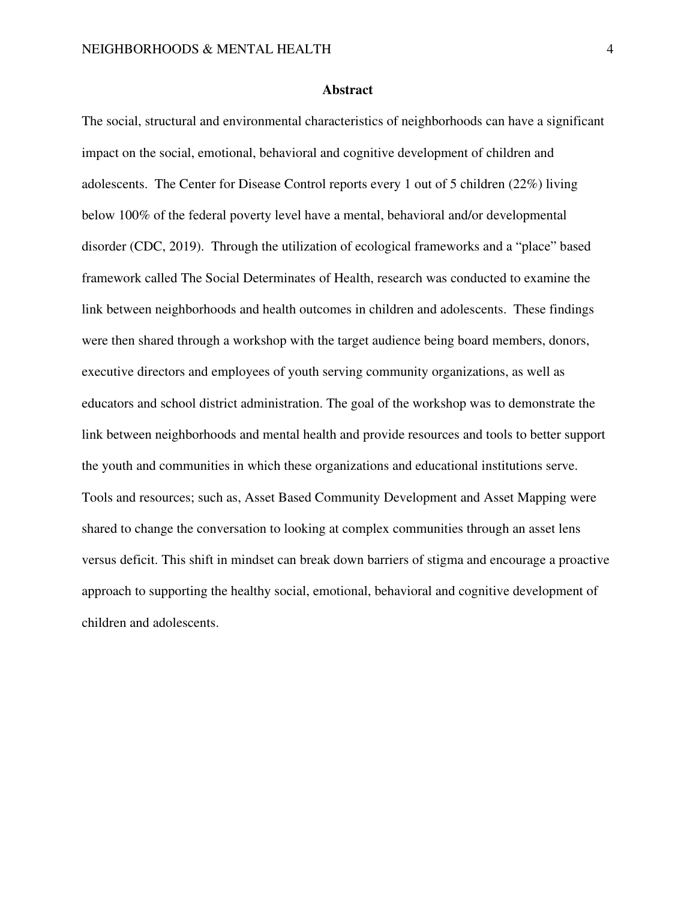## **Abstract**

The social, structural and environmental characteristics of neighborhoods can have a significant impact on the social, emotional, behavioral and cognitive development of children and adolescents. The Center for Disease Control reports every 1 out of 5 children (22%) living below 100% of the federal poverty level have a mental, behavioral and/or developmental disorder (CDC, 2019). Through the utilization of ecological frameworks and a "place" based framework called The Social Determinates of Health, research was conducted to examine the link between neighborhoods and health outcomes in children and adolescents. These findings were then shared through a workshop with the target audience being board members, donors, executive directors and employees of youth serving community organizations, as well as educators and school district administration. The goal of the workshop was to demonstrate the link between neighborhoods and mental health and provide resources and tools to better support the youth and communities in which these organizations and educational institutions serve. Tools and resources; such as, Asset Based Community Development and Asset Mapping were shared to change the conversation to looking at complex communities through an asset lens versus deficit. This shift in mindset can break down barriers of stigma and encourage a proactive approach to supporting the healthy social, emotional, behavioral and cognitive development of children and adolescents.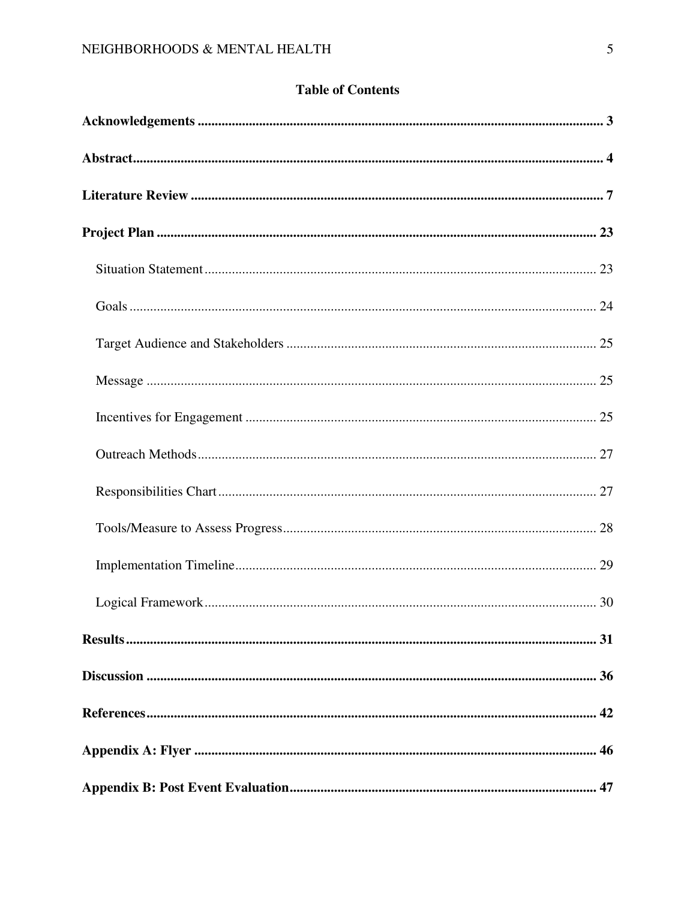# **Table of Contents**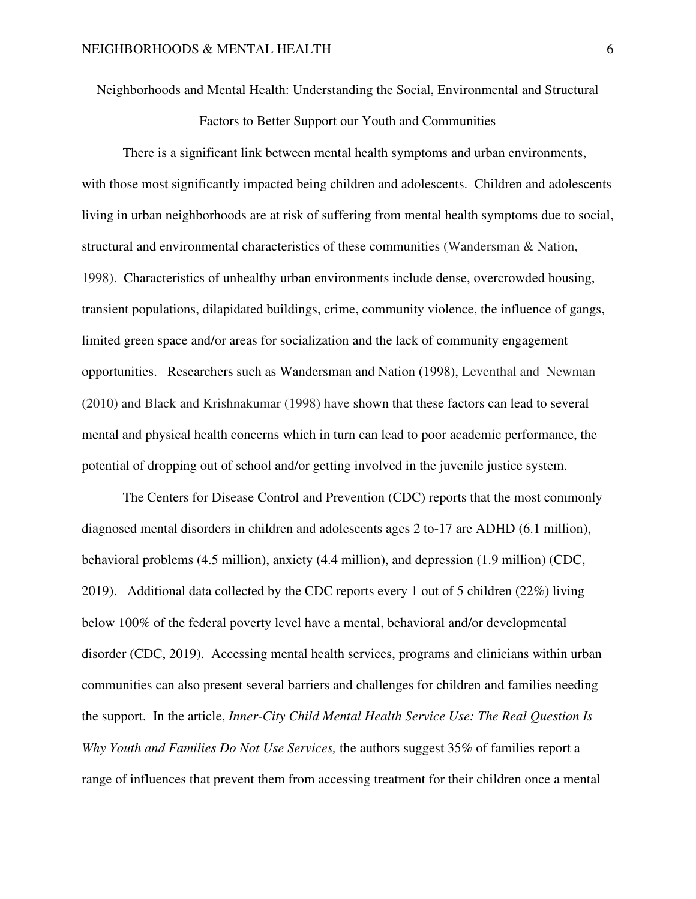Neighborhoods and Mental Health: Understanding the Social, Environmental and Structural

Factors to Better Support our Youth and Communities

There is a significant link between mental health symptoms and urban environments, with those most significantly impacted being children and adolescents. Children and adolescents living in urban neighborhoods are at risk of suffering from mental health symptoms due to social, structural and environmental characteristics of these communities (Wandersman & Nation, 1998). Characteristics of unhealthy urban environments include dense, overcrowded housing, transient populations, dilapidated buildings, crime, community violence, the influence of gangs, limited green space and/or areas for socialization and the lack of community engagement opportunities. Researchers such as Wandersman and Nation (1998), Leventhal and Newman (2010) and Black and Krishnakumar (1998) have shown that these factors can lead to several mental and physical health concerns which in turn can lead to poor academic performance, the potential of dropping out of school and/or getting involved in the juvenile justice system.

 The Centers for Disease Control and Prevention (CDC) reports that the most commonly diagnosed mental disorders in children and adolescents ages 2 to-17 are ADHD (6.1 million), behavioral problems (4.5 million), anxiety (4.4 million), and depression (1.9 million) (CDC, 2019). Additional data collected by the CDC reports every 1 out of 5 children (22%) living below 100% of the federal poverty level have a mental, behavioral and/or developmental disorder (CDC, 2019). Accessing mental health services, programs and clinicians within urban communities can also present several barriers and challenges for children and families needing the support. In the article, *Inner-City Child Mental Health Service Use: The Real Question Is Why Youth and Families Do Not Use Services,* the authors suggest 35% of families report a range of influences that prevent them from accessing treatment for their children once a mental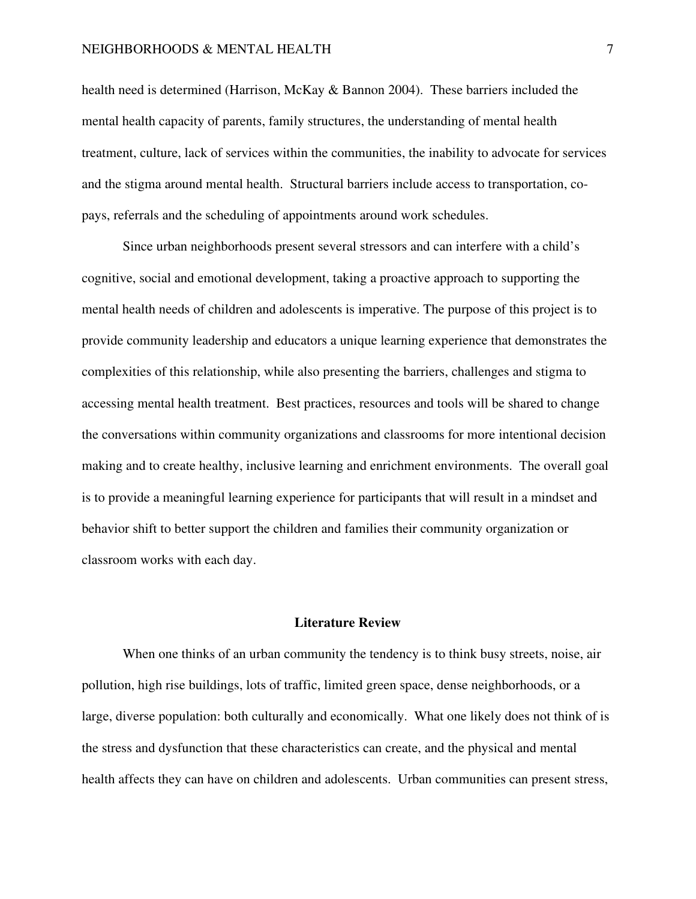# NEIGHBORHOODS & MENTAL HEALTH 7

health need is determined (Harrison, McKay & Bannon 2004). These barriers included the mental health capacity of parents, family structures, the understanding of mental health treatment, culture, lack of services within the communities, the inability to advocate for services and the stigma around mental health. Structural barriers include access to transportation, copays, referrals and the scheduling of appointments around work schedules.

Since urban neighborhoods present several stressors and can interfere with a child's cognitive, social and emotional development, taking a proactive approach to supporting the mental health needs of children and adolescents is imperative. The purpose of this project is to provide community leadership and educators a unique learning experience that demonstrates the complexities of this relationship, while also presenting the barriers, challenges and stigma to accessing mental health treatment. Best practices, resources and tools will be shared to change the conversations within community organizations and classrooms for more intentional decision making and to create healthy, inclusive learning and enrichment environments. The overall goal is to provide a meaningful learning experience for participants that will result in a mindset and behavior shift to better support the children and families their community organization or classroom works with each day.

# **Literature Review**

When one thinks of an urban community the tendency is to think busy streets, noise, air pollution, high rise buildings, lots of traffic, limited green space, dense neighborhoods, or a large, diverse population: both culturally and economically. What one likely does not think of is the stress and dysfunction that these characteristics can create, and the physical and mental health affects they can have on children and adolescents. Urban communities can present stress,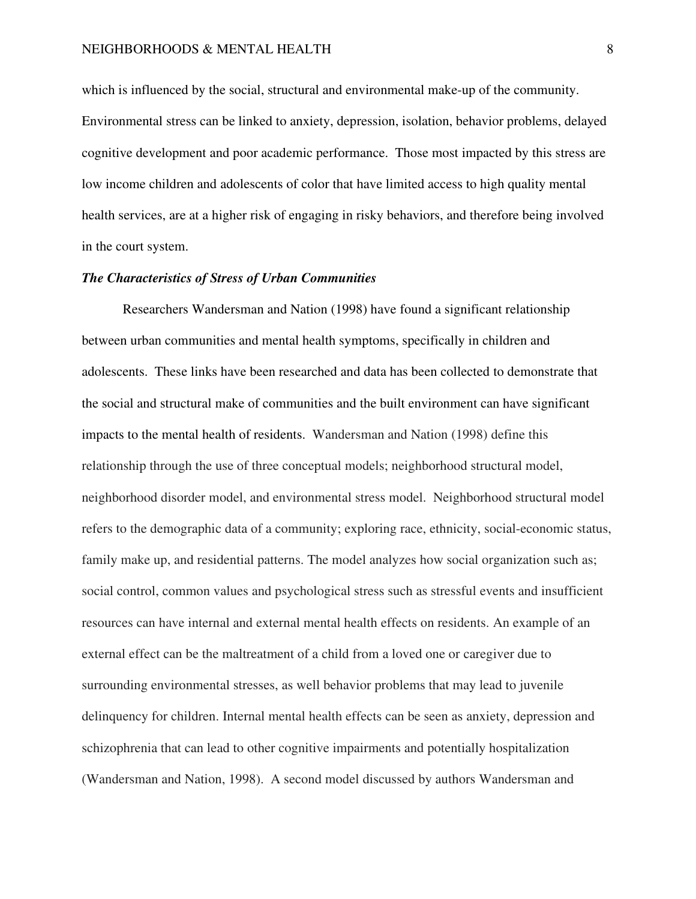which is influenced by the social, structural and environmental make-up of the community. Environmental stress can be linked to anxiety, depression, isolation, behavior problems, delayed cognitive development and poor academic performance. Those most impacted by this stress are low income children and adolescents of color that have limited access to high quality mental health services, are at a higher risk of engaging in risky behaviors, and therefore being involved in the court system.

# *The Characteristics of Stress of Urban Communities*

Researchers Wandersman and Nation (1998) have found a significant relationship between urban communities and mental health symptoms, specifically in children and adolescents. These links have been researched and data has been collected to demonstrate that the social and structural make of communities and the built environment can have significant impacts to the mental health of residents. Wandersman and Nation (1998) define this relationship through the use of three conceptual models; neighborhood structural model, neighborhood disorder model, and environmental stress model. Neighborhood structural model refers to the demographic data of a community; exploring race, ethnicity, social-economic status, family make up, and residential patterns. The model analyzes how social organization such as; social control, common values and psychological stress such as stressful events and insufficient resources can have internal and external mental health effects on residents. An example of an external effect can be the maltreatment of a child from a loved one or caregiver due to surrounding environmental stresses, as well behavior problems that may lead to juvenile delinquency for children. Internal mental health effects can be seen as anxiety, depression and schizophrenia that can lead to other cognitive impairments and potentially hospitalization (Wandersman and Nation, 1998). A second model discussed by authors Wandersman and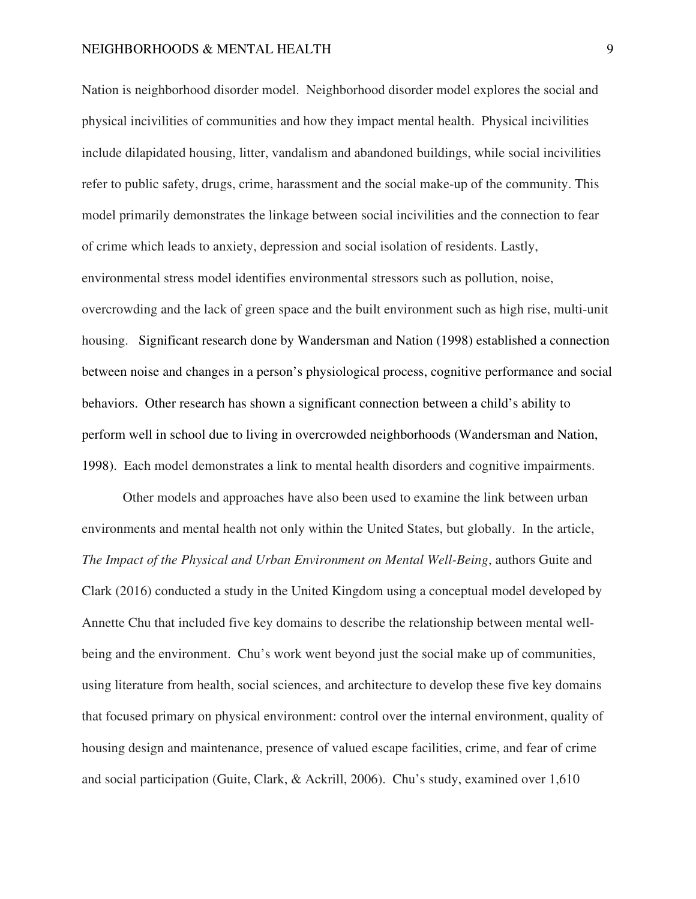Nation is neighborhood disorder model. Neighborhood disorder model explores the social and physical incivilities of communities and how they impact mental health. Physical incivilities include dilapidated housing, litter, vandalism and abandoned buildings, while social incivilities refer to public safety, drugs, crime, harassment and the social make-up of the community. This model primarily demonstrates the linkage between social incivilities and the connection to fear of crime which leads to anxiety, depression and social isolation of residents. Lastly, environmental stress model identifies environmental stressors such as pollution, noise, overcrowding and the lack of green space and the built environment such as high rise, multi-unit housing. Significant research done by Wandersman and Nation (1998) established a connection between noise and changes in a person's physiological process, cognitive performance and social behaviors. Other research has shown a significant connection between a child's ability to perform well in school due to living in overcrowded neighborhoods (Wandersman and Nation, 1998). Each model demonstrates a link to mental health disorders and cognitive impairments.

Other models and approaches have also been used to examine the link between urban environments and mental health not only within the United States, but globally. In the article, *The Impact of the Physical and Urban Environment on Mental Well-Being*, authors Guite and Clark (2016) conducted a study in the United Kingdom using a conceptual model developed by Annette Chu that included five key domains to describe the relationship between mental wellbeing and the environment. Chu's work went beyond just the social make up of communities, using literature from health, social sciences, and architecture to develop these five key domains that focused primary on physical environment: control over the internal environment, quality of housing design and maintenance, presence of valued escape facilities, crime, and fear of crime and social participation (Guite, Clark, & Ackrill, 2006). Chu's study, examined over 1,610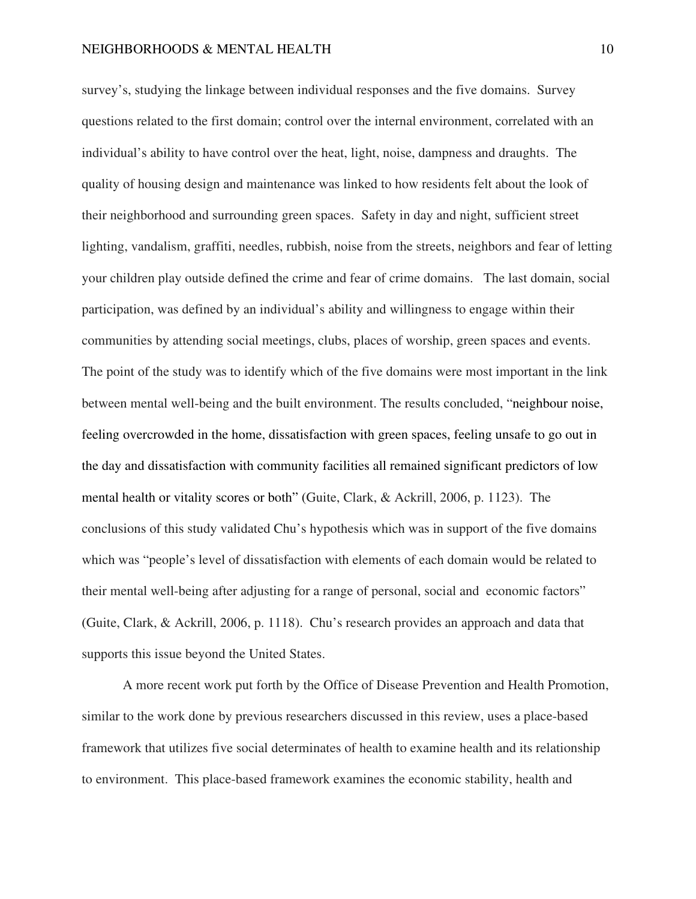survey's, studying the linkage between individual responses and the five domains. Survey questions related to the first domain; control over the internal environment, correlated with an individual's ability to have control over the heat, light, noise, dampness and draughts. The quality of housing design and maintenance was linked to how residents felt about the look of their neighborhood and surrounding green spaces. Safety in day and night, sufficient street lighting, vandalism, graffiti, needles, rubbish, noise from the streets, neighbors and fear of letting your children play outside defined the crime and fear of crime domains. The last domain, social participation, was defined by an individual's ability and willingness to engage within their communities by attending social meetings, clubs, places of worship, green spaces and events. The point of the study was to identify which of the five domains were most important in the link between mental well-being and the built environment. The results concluded, "neighbour noise, feeling overcrowded in the home, dissatisfaction with green spaces, feeling unsafe to go out in the day and dissatisfaction with community facilities all remained significant predictors of low mental health or vitality scores or both" (Guite, Clark, & Ackrill, 2006, p. 1123). The conclusions of this study validated Chu's hypothesis which was in support of the five domains which was "people's level of dissatisfaction with elements of each domain would be related to their mental well-being after adjusting for a range of personal, social and economic factors" (Guite, Clark, & Ackrill, 2006, p. 1118). Chu's research provides an approach and data that supports this issue beyond the United States.

A more recent work put forth by the Office of Disease Prevention and Health Promotion, similar to the work done by previous researchers discussed in this review, uses a place-based framework that utilizes five social determinates of health to examine health and its relationship to environment. This place-based framework examines the economic stability, health and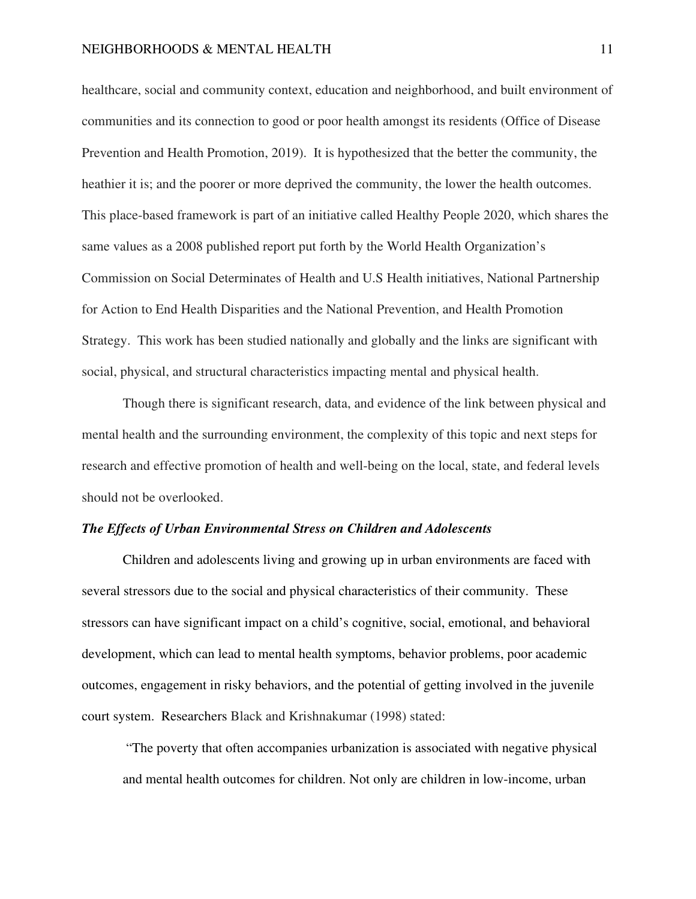healthcare, social and community context, education and neighborhood, and built environment of communities and its connection to good or poor health amongst its residents (Office of Disease Prevention and Health Promotion, 2019). It is hypothesized that the better the community, the heathier it is; and the poorer or more deprived the community, the lower the health outcomes. This place-based framework is part of an initiative called Healthy People 2020, which shares the same values as a 2008 published report put forth by the World Health Organization's Commission on Social Determinates of Health and U.S Health initiatives, National Partnership for Action to End Health Disparities and the National Prevention, and Health Promotion Strategy. This work has been studied nationally and globally and the links are significant with social, physical, and structural characteristics impacting mental and physical health.

Though there is significant research, data, and evidence of the link between physical and mental health and the surrounding environment, the complexity of this topic and next steps for research and effective promotion of health and well-being on the local, state, and federal levels should not be overlooked.

# *The Effects of Urban Environmental Stress on Children and Adolescents*

Children and adolescents living and growing up in urban environments are faced with several stressors due to the social and physical characteristics of their community. These stressors can have significant impact on a child's cognitive, social, emotional, and behavioral development, which can lead to mental health symptoms, behavior problems, poor academic outcomes, engagement in risky behaviors, and the potential of getting involved in the juvenile court system. Researchers Black and Krishnakumar (1998) stated:

 "The poverty that often accompanies urbanization is associated with negative physical and mental health outcomes for children. Not only are children in low-income, urban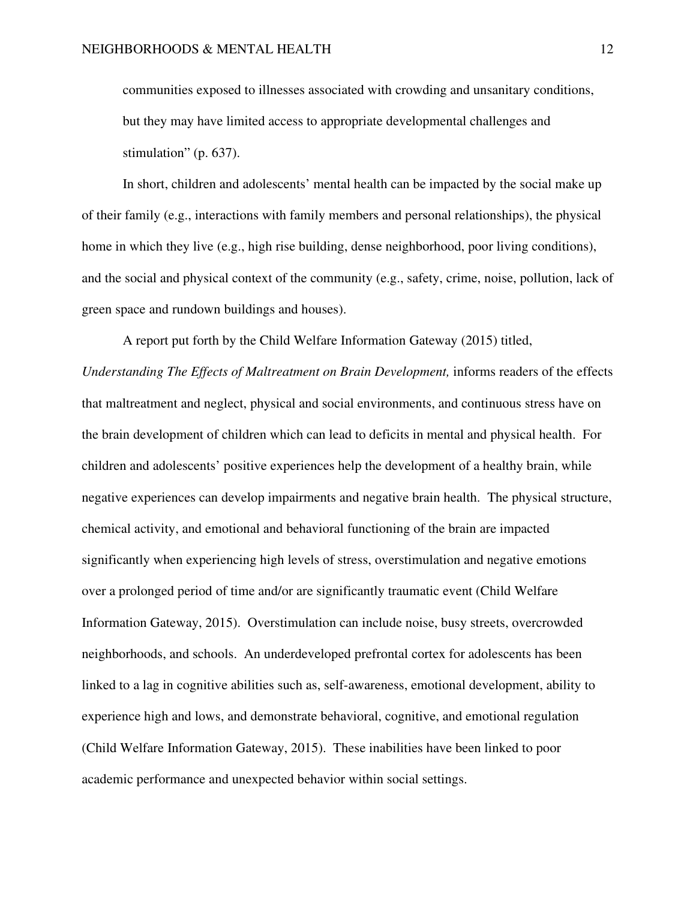communities exposed to illnesses associated with crowding and unsanitary conditions, but they may have limited access to appropriate developmental challenges and stimulation" (p. 637).

 In short, children and adolescents' mental health can be impacted by the social make up of their family (e.g., interactions with family members and personal relationships), the physical home in which they live (e.g., high rise building, dense neighborhood, poor living conditions), and the social and physical context of the community (e.g., safety, crime, noise, pollution, lack of green space and rundown buildings and houses).

A report put forth by the Child Welfare Information Gateway (2015) titled,

*Understanding The Effects of Maltreatment on Brain Development,* informs readers of the effects that maltreatment and neglect, physical and social environments, and continuous stress have on the brain development of children which can lead to deficits in mental and physical health. For children and adolescents' positive experiences help the development of a healthy brain, while negative experiences can develop impairments and negative brain health. The physical structure, chemical activity, and emotional and behavioral functioning of the brain are impacted significantly when experiencing high levels of stress, overstimulation and negative emotions over a prolonged period of time and/or are significantly traumatic event (Child Welfare Information Gateway, 2015). Overstimulation can include noise, busy streets, overcrowded neighborhoods, and schools. An underdeveloped prefrontal cortex for adolescents has been linked to a lag in cognitive abilities such as, self-awareness, emotional development, ability to experience high and lows, and demonstrate behavioral, cognitive, and emotional regulation (Child Welfare Information Gateway, 2015). These inabilities have been linked to poor academic performance and unexpected behavior within social settings.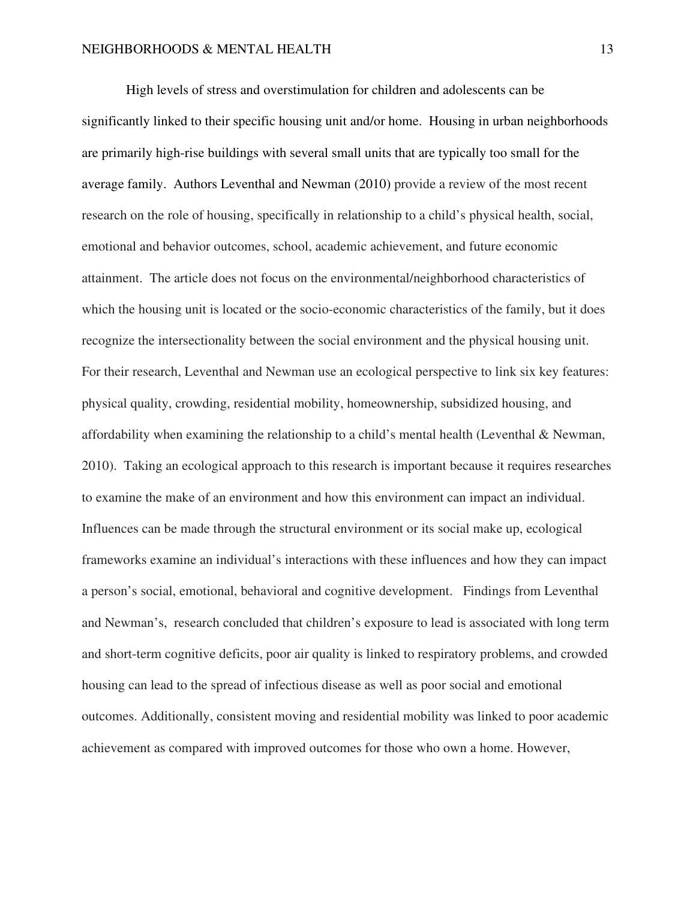High levels of stress and overstimulation for children and adolescents can be significantly linked to their specific housing unit and/or home. Housing in urban neighborhoods are primarily high-rise buildings with several small units that are typically too small for the average family. Authors Leventhal and Newman (2010) provide a review of the most recent research on the role of housing, specifically in relationship to a child's physical health, social, emotional and behavior outcomes, school, academic achievement, and future economic attainment. The article does not focus on the environmental/neighborhood characteristics of which the housing unit is located or the socio-economic characteristics of the family, but it does recognize the intersectionality between the social environment and the physical housing unit. For their research, Leventhal and Newman use an ecological perspective to link six key features: physical quality, crowding, residential mobility, homeownership, subsidized housing, and affordability when examining the relationship to a child's mental health (Leventhal  $\&$  Newman, 2010). Taking an ecological approach to this research is important because it requires researches to examine the make of an environment and how this environment can impact an individual. Influences can be made through the structural environment or its social make up, ecological frameworks examine an individual's interactions with these influences and how they can impact a person's social, emotional, behavioral and cognitive development. Findings from Leventhal and Newman's, research concluded that children's exposure to lead is associated with long term and short-term cognitive deficits, poor air quality is linked to respiratory problems, and crowded housing can lead to the spread of infectious disease as well as poor social and emotional outcomes. Additionally, consistent moving and residential mobility was linked to poor academic achievement as compared with improved outcomes for those who own a home. However,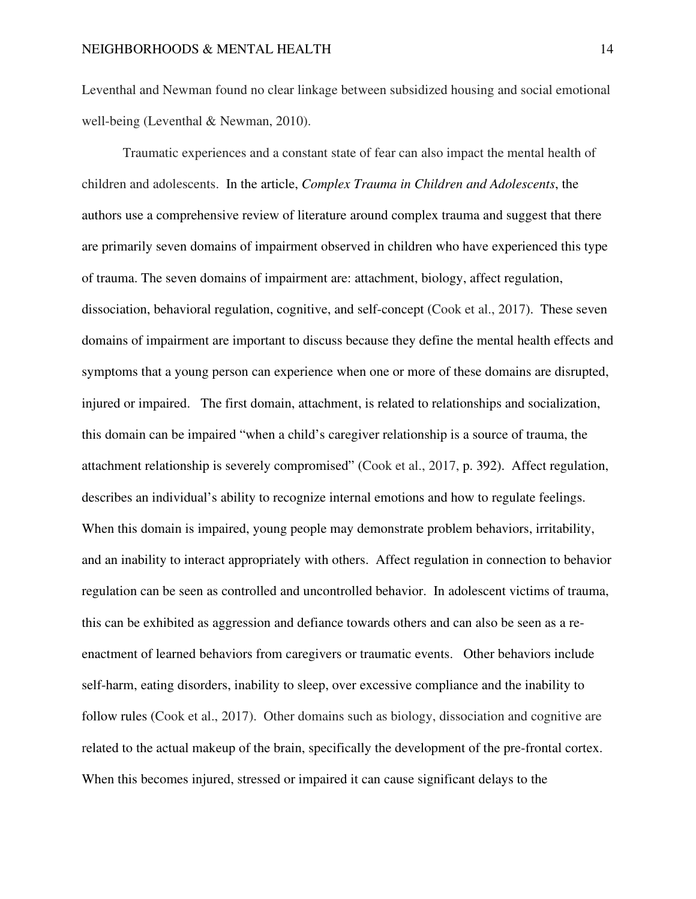Leventhal and Newman found no clear linkage between subsidized housing and social emotional well-being (Leventhal & Newman, 2010).

Traumatic experiences and a constant state of fear can also impact the mental health of children and adolescents. In the article, *Complex Trauma in Children and Adolescents*, the authors use a comprehensive review of literature around complex trauma and suggest that there are primarily seven domains of impairment observed in children who have experienced this type of trauma. The seven domains of impairment are: attachment, biology, affect regulation, dissociation, behavioral regulation, cognitive, and self-concept (Cook et al., 2017). These seven domains of impairment are important to discuss because they define the mental health effects and symptoms that a young person can experience when one or more of these domains are disrupted, injured or impaired. The first domain, attachment, is related to relationships and socialization, this domain can be impaired "when a child's caregiver relationship is a source of trauma, the attachment relationship is severely compromised" (Cook et al., 2017, p. 392). Affect regulation, describes an individual's ability to recognize internal emotions and how to regulate feelings. When this domain is impaired, young people may demonstrate problem behaviors, irritability, and an inability to interact appropriately with others. Affect regulation in connection to behavior regulation can be seen as controlled and uncontrolled behavior. In adolescent victims of trauma, this can be exhibited as aggression and defiance towards others and can also be seen as a reenactment of learned behaviors from caregivers or traumatic events. Other behaviors include self-harm, eating disorders, inability to sleep, over excessive compliance and the inability to follow rules (Cook et al., 2017). Other domains such as biology, dissociation and cognitive are related to the actual makeup of the brain, specifically the development of the pre-frontal cortex. When this becomes injured, stressed or impaired it can cause significant delays to the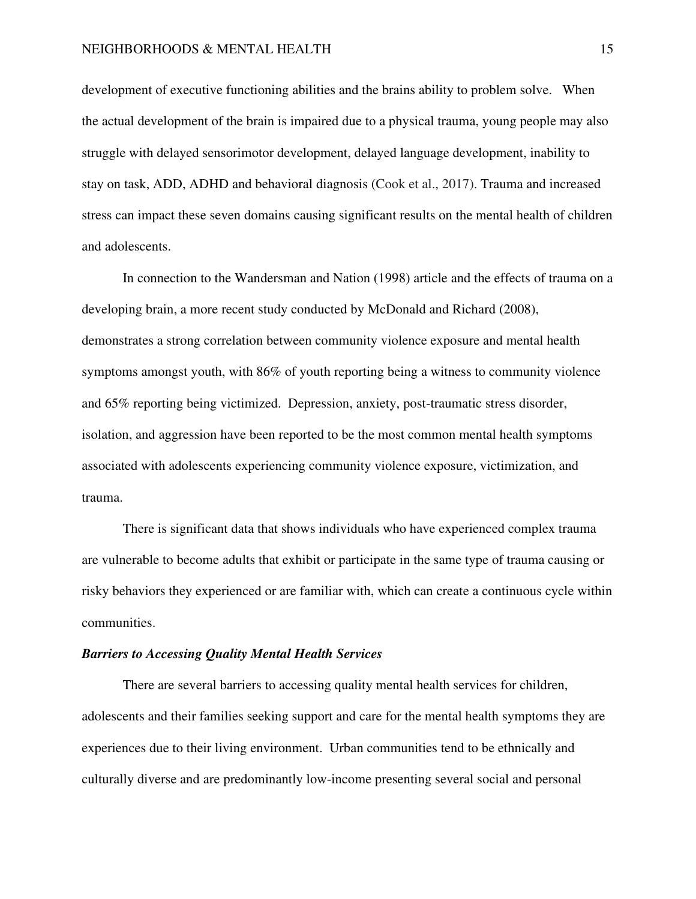# NEIGHBORHOODS & MENTAL HEALTH 15

development of executive functioning abilities and the brains ability to problem solve. When the actual development of the brain is impaired due to a physical trauma, young people may also struggle with delayed sensorimotor development, delayed language development, inability to stay on task, ADD, ADHD and behavioral diagnosis (Cook et al., 2017). Trauma and increased stress can impact these seven domains causing significant results on the mental health of children and adolescents.

In connection to the Wandersman and Nation (1998) article and the effects of trauma on a developing brain, a more recent study conducted by McDonald and Richard (2008), demonstrates a strong correlation between community violence exposure and mental health symptoms amongst youth, with 86% of youth reporting being a witness to community violence and 65% reporting being victimized. Depression, anxiety, post-traumatic stress disorder, isolation, and aggression have been reported to be the most common mental health symptoms associated with adolescents experiencing community violence exposure, victimization, and trauma.

 There is significant data that shows individuals who have experienced complex trauma are vulnerable to become adults that exhibit or participate in the same type of trauma causing or risky behaviors they experienced or are familiar with, which can create a continuous cycle within communities.

# *Barriers to Accessing Quality Mental Health Services*

There are several barriers to accessing quality mental health services for children, adolescents and their families seeking support and care for the mental health symptoms they are experiences due to their living environment. Urban communities tend to be ethnically and culturally diverse and are predominantly low-income presenting several social and personal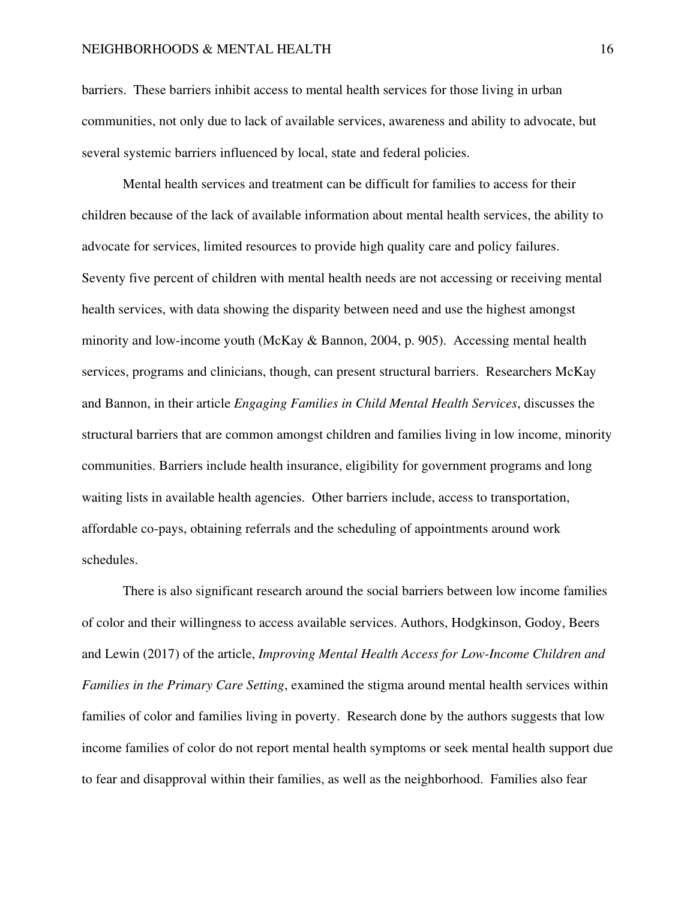# NEIGHBORHOODS & MENTAL HEALTH 16

barriers. These barriers inhibit access to mental health services for those living in urban communities, not only due to lack of available services, awareness and ability to advocate, but several systemic barriers influenced by local, state and federal policies.

Mental health services and treatment can be difficult for families to access for their children because of the lack of available information about mental health services, the ability to advocate for services, limited resources to provide high quality care and policy failures. Seventy five percent of children with mental health needs are not accessing or receiving mental health services, with data showing the disparity between need and use the highest amongst minority and low-income youth (McKay & Bannon, 2004, p. 905). Accessing mental health services, programs and clinicians, though, can present structural barriers. Researchers McKay and Bannon, in their article *Engaging Families in Child Mental Health Services*, discusses the structural barriers that are common amongst children and families living in low income, minority communities. Barriers include health insurance, eligibility for government programs and long waiting lists in available health agencies. Other barriers include, access to transportation, affordable co-pays, obtaining referrals and the scheduling of appointments around work schedules.

There is also significant research around the social barriers between low income families of color and their willingness to access available services. Authors, Hodgkinson, Godoy, Beers and Lewin (2017) of the article, *Improving Mental Health Access for Low-Income Children and Families in the Primary Care Setting*, examined the stigma around mental health services within families of color and families living in poverty. Research done by the authors suggests that low income families of color do not report mental health symptoms or seek mental health support due to fear and disapproval within their families, as well as the neighborhood. Families also fear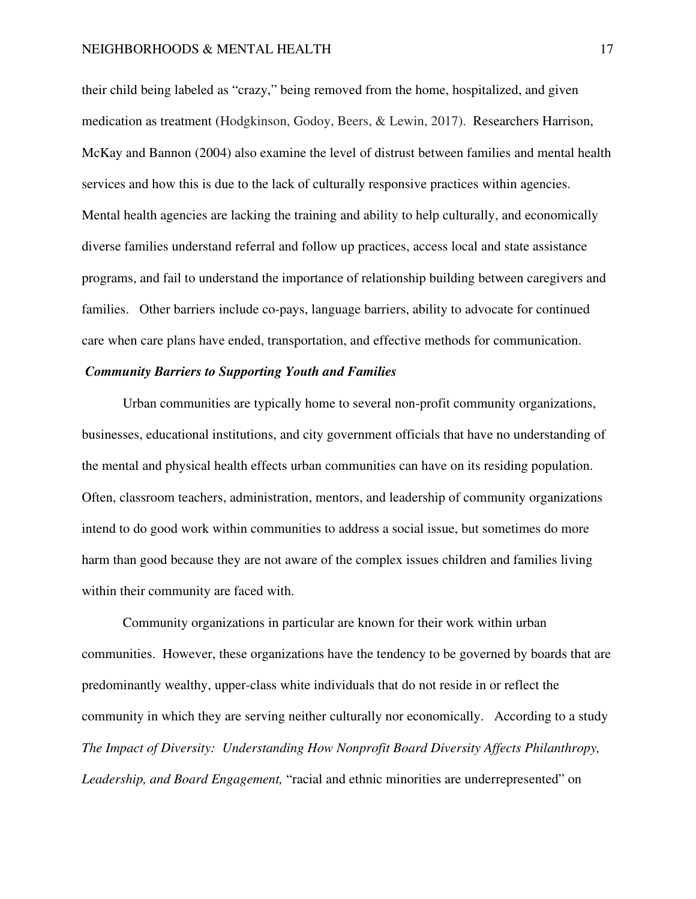their child being labeled as "crazy," being removed from the home, hospitalized, and given medication as treatment (Hodgkinson, Godoy, Beers, & Lewin, 2017). Researchers Harrison, McKay and Bannon (2004) also examine the level of distrust between families and mental health services and how this is due to the lack of culturally responsive practices within agencies. Mental health agencies are lacking the training and ability to help culturally, and economically diverse families understand referral and follow up practices, access local and state assistance programs, and fail to understand the importance of relationship building between caregivers and families. Other barriers include co-pays, language barriers, ability to advocate for continued care when care plans have ended, transportation, and effective methods for communication.

# *Community Barriers to Supporting Youth and Families*

Urban communities are typically home to several non-profit community organizations, businesses, educational institutions, and city government officials that have no understanding of the mental and physical health effects urban communities can have on its residing population. Often, classroom teachers, administration, mentors, and leadership of community organizations intend to do good work within communities to address a social issue, but sometimes do more harm than good because they are not aware of the complex issues children and families living within their community are faced with.

Community organizations in particular are known for their work within urban communities. However, these organizations have the tendency to be governed by boards that are predominantly wealthy, upper-class white individuals that do not reside in or reflect the community in which they are serving neither culturally nor economically. According to a study *The Impact of Diversity: Understanding How Nonprofit Board Diversity Affects Philanthropy, Leadership, and Board Engagement,* "racial and ethnic minorities are underrepresented" on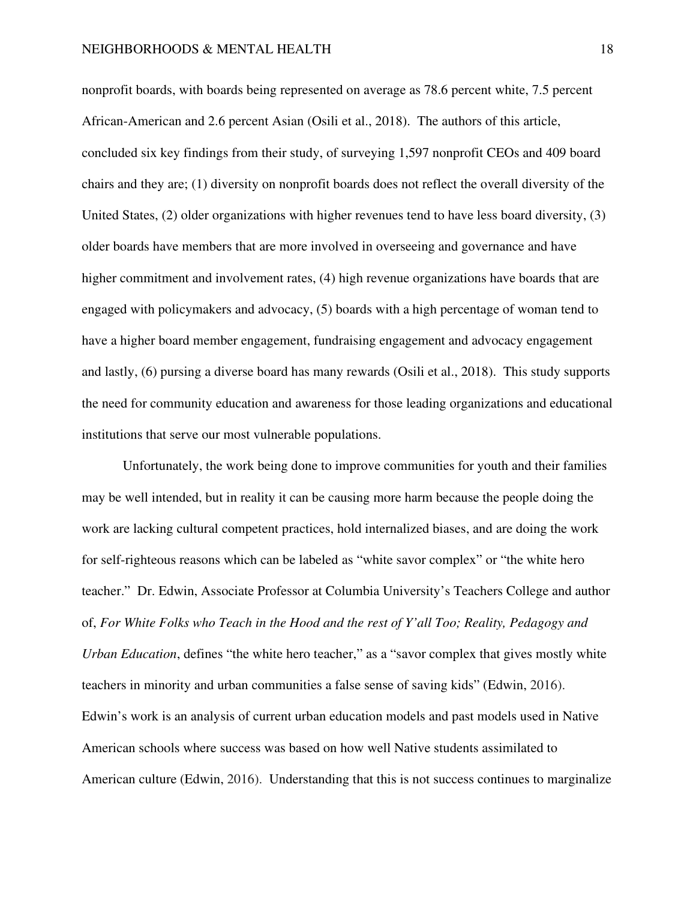nonprofit boards, with boards being represented on average as 78.6 percent white, 7.5 percent African-American and 2.6 percent Asian (Osili et al., 2018). The authors of this article, concluded six key findings from their study, of surveying 1,597 nonprofit CEOs and 409 board chairs and they are; (1) diversity on nonprofit boards does not reflect the overall diversity of the United States, (2) older organizations with higher revenues tend to have less board diversity, (3) older boards have members that are more involved in overseeing and governance and have higher commitment and involvement rates, (4) high revenue organizations have boards that are engaged with policymakers and advocacy, (5) boards with a high percentage of woman tend to have a higher board member engagement, fundraising engagement and advocacy engagement and lastly, (6) pursing a diverse board has many rewards (Osili et al., 2018). This study supports the need for community education and awareness for those leading organizations and educational institutions that serve our most vulnerable populations.

Unfortunately, the work being done to improve communities for youth and their families may be well intended, but in reality it can be causing more harm because the people doing the work are lacking cultural competent practices, hold internalized biases, and are doing the work for self-righteous reasons which can be labeled as "white savor complex" or "the white hero teacher." Dr. Edwin, Associate Professor at Columbia University's Teachers College and author of, *For White Folks who Teach in the Hood and the rest of Y'all Too; Reality, Pedagogy and Urban Education*, defines "the white hero teacher," as a "savor complex that gives mostly white teachers in minority and urban communities a false sense of saving kids" (Edwin, 2016). Edwin's work is an analysis of current urban education models and past models used in Native American schools where success was based on how well Native students assimilated to American culture (Edwin, 2016). Understanding that this is not success continues to marginalize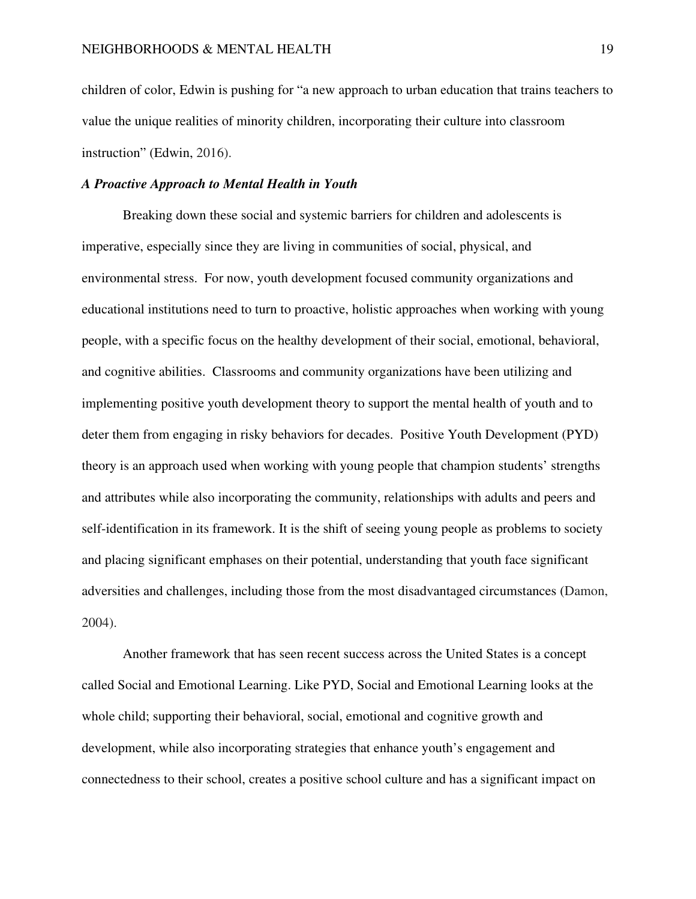children of color, Edwin is pushing for "a new approach to urban education that trains teachers to value the unique realities of minority children, incorporating their culture into classroom instruction" (Edwin, 2016).

# *A Proactive Approach to Mental Health in Youth*

Breaking down these social and systemic barriers for children and adolescents is imperative, especially since they are living in communities of social, physical, and environmental stress. For now, youth development focused community organizations and educational institutions need to turn to proactive, holistic approaches when working with young people, with a specific focus on the healthy development of their social, emotional, behavioral, and cognitive abilities. Classrooms and community organizations have been utilizing and implementing positive youth development theory to support the mental health of youth and to deter them from engaging in risky behaviors for decades. Positive Youth Development (PYD) theory is an approach used when working with young people that champion students' strengths and attributes while also incorporating the community, relationships with adults and peers and self-identification in its framework. It is the shift of seeing young people as problems to society and placing significant emphases on their potential, understanding that youth face significant adversities and challenges, including those from the most disadvantaged circumstances (Damon, 2004).

Another framework that has seen recent success across the United States is a concept called Social and Emotional Learning. Like PYD, Social and Emotional Learning looks at the whole child; supporting their behavioral, social, emotional and cognitive growth and development, while also incorporating strategies that enhance youth's engagement and connectedness to their school, creates a positive school culture and has a significant impact on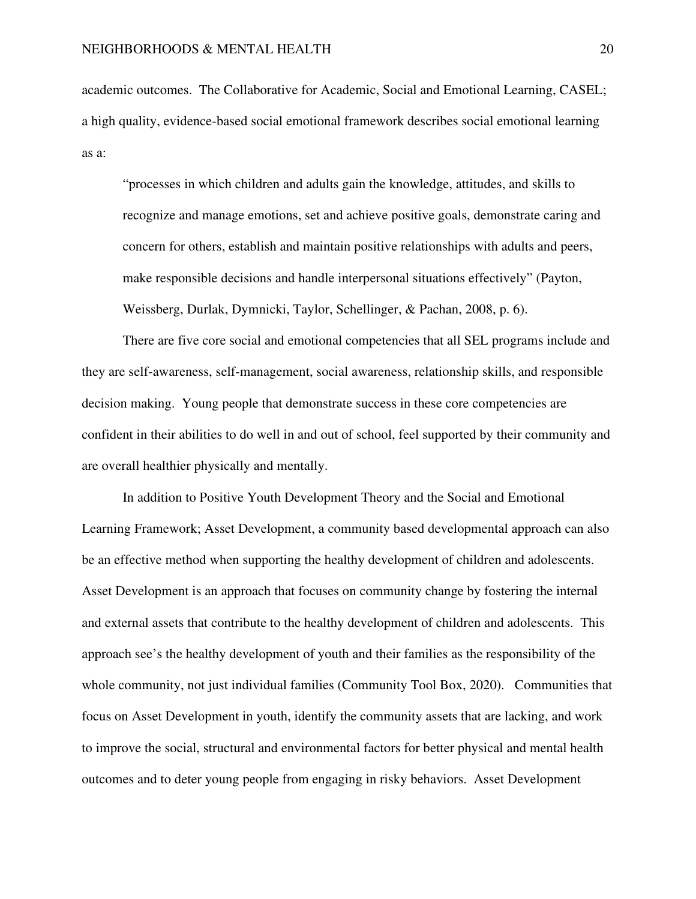academic outcomes. The Collaborative for Academic, Social and Emotional Learning, CASEL; a high quality, evidence-based social emotional framework describes social emotional learning as a:

"processes in which children and adults gain the knowledge, attitudes, and skills to recognize and manage emotions, set and achieve positive goals, demonstrate caring and concern for others, establish and maintain positive relationships with adults and peers, make responsible decisions and handle interpersonal situations effectively" (Payton, Weissberg, Durlak, Dymnicki, Taylor, Schellinger, & Pachan, 2008, p. 6).

 There are five core social and emotional competencies that all SEL programs include and they are self-awareness, self-management, social awareness, relationship skills, and responsible decision making. Young people that demonstrate success in these core competencies are confident in their abilities to do well in and out of school, feel supported by their community and are overall healthier physically and mentally.

 In addition to Positive Youth Development Theory and the Social and Emotional Learning Framework; Asset Development, a community based developmental approach can also be an effective method when supporting the healthy development of children and adolescents. Asset Development is an approach that focuses on community change by fostering the internal and external assets that contribute to the healthy development of children and adolescents. This approach see's the healthy development of youth and their families as the responsibility of the whole community, not just individual families (Community Tool Box, 2020). Communities that focus on Asset Development in youth, identify the community assets that are lacking, and work to improve the social, structural and environmental factors for better physical and mental health outcomes and to deter young people from engaging in risky behaviors. Asset Development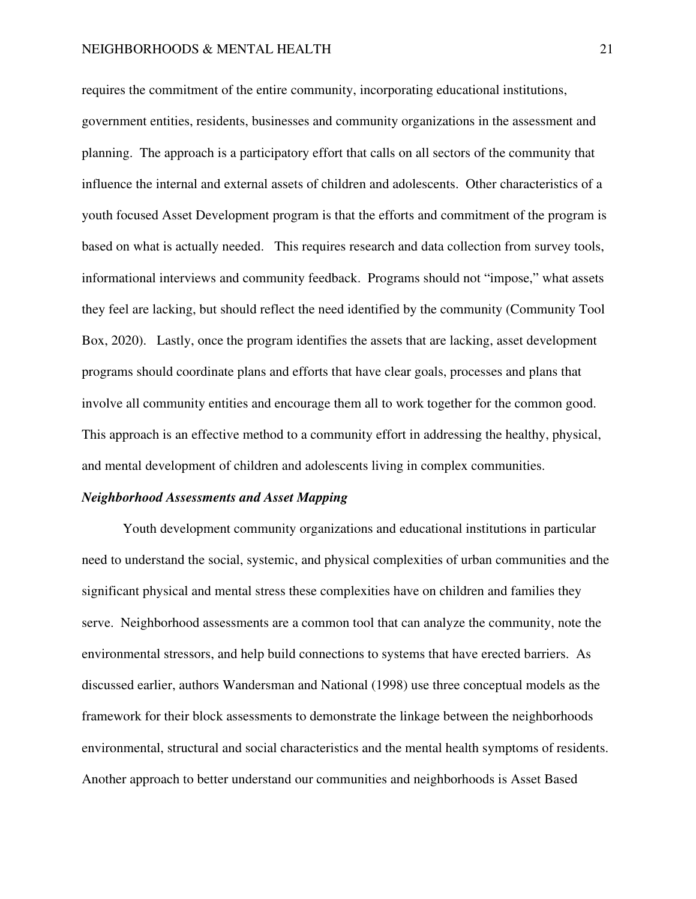requires the commitment of the entire community, incorporating educational institutions, government entities, residents, businesses and community organizations in the assessment and planning. The approach is a participatory effort that calls on all sectors of the community that influence the internal and external assets of children and adolescents. Other characteristics of a youth focused Asset Development program is that the efforts and commitment of the program is based on what is actually needed. This requires research and data collection from survey tools, informational interviews and community feedback. Programs should not "impose," what assets they feel are lacking, but should reflect the need identified by the community (Community Tool Box, 2020). Lastly, once the program identifies the assets that are lacking, asset development programs should coordinate plans and efforts that have clear goals, processes and plans that involve all community entities and encourage them all to work together for the common good. This approach is an effective method to a community effort in addressing the healthy, physical, and mental development of children and adolescents living in complex communities.

#### *Neighborhood Assessments and Asset Mapping*

Youth development community organizations and educational institutions in particular need to understand the social, systemic, and physical complexities of urban communities and the significant physical and mental stress these complexities have on children and families they serve. Neighborhood assessments are a common tool that can analyze the community, note the environmental stressors, and help build connections to systems that have erected barriers. As discussed earlier, authors Wandersman and National (1998) use three conceptual models as the framework for their block assessments to demonstrate the linkage between the neighborhoods environmental, structural and social characteristics and the mental health symptoms of residents. Another approach to better understand our communities and neighborhoods is Asset Based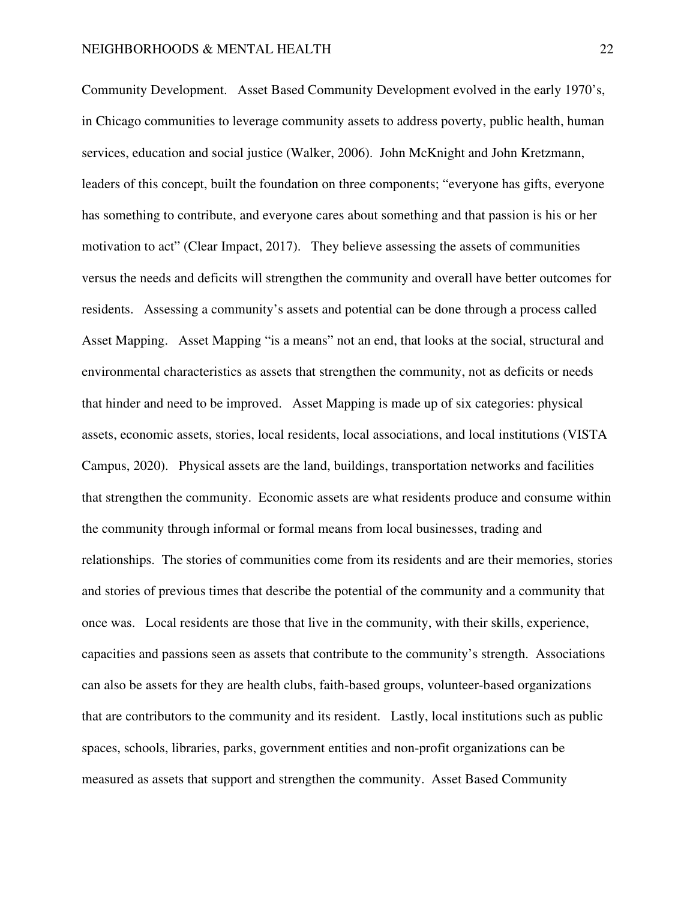Community Development. Asset Based Community Development evolved in the early 1970's, in Chicago communities to leverage community assets to address poverty, public health, human services, education and social justice (Walker, 2006). John McKnight and John Kretzmann, leaders of this concept, built the foundation on three components; "everyone has gifts, everyone has something to contribute, and everyone cares about something and that passion is his or her motivation to act" (Clear Impact, 2017). They believe assessing the assets of communities versus the needs and deficits will strengthen the community and overall have better outcomes for residents. Assessing a community's assets and potential can be done through a process called Asset Mapping. Asset Mapping "is a means" not an end, that looks at the social, structural and environmental characteristics as assets that strengthen the community, not as deficits or needs that hinder and need to be improved. Asset Mapping is made up of six categories: physical assets, economic assets, stories, local residents, local associations, and local institutions (VISTA Campus, 2020). Physical assets are the land, buildings, transportation networks and facilities that strengthen the community. Economic assets are what residents produce and consume within the community through informal or formal means from local businesses, trading and relationships. The stories of communities come from its residents and are their memories, stories and stories of previous times that describe the potential of the community and a community that once was. Local residents are those that live in the community, with their skills, experience, capacities and passions seen as assets that contribute to the community's strength. Associations can also be assets for they are health clubs, faith-based groups, volunteer-based organizations that are contributors to the community and its resident. Lastly, local institutions such as public spaces, schools, libraries, parks, government entities and non-profit organizations can be measured as assets that support and strengthen the community. Asset Based Community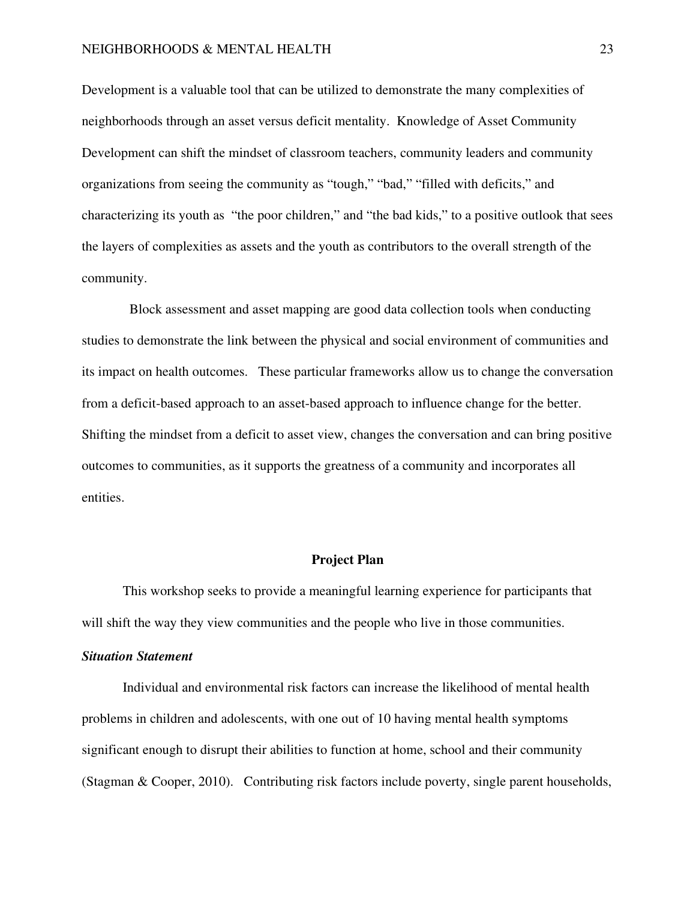# NEIGHBORHOODS & MENTAL HEALTH 23

Development is a valuable tool that can be utilized to demonstrate the many complexities of neighborhoods through an asset versus deficit mentality. Knowledge of Asset Community Development can shift the mindset of classroom teachers, community leaders and community organizations from seeing the community as "tough," "bad," "filled with deficits," and characterizing its youth as "the poor children," and "the bad kids," to a positive outlook that sees the layers of complexities as assets and the youth as contributors to the overall strength of the community.

 Block assessment and asset mapping are good data collection tools when conducting studies to demonstrate the link between the physical and social environment of communities and its impact on health outcomes. These particular frameworks allow us to change the conversation from a deficit-based approach to an asset-based approach to influence change for the better. Shifting the mindset from a deficit to asset view, changes the conversation and can bring positive outcomes to communities, as it supports the greatness of a community and incorporates all entities.

# **Project Plan**

 This workshop seeks to provide a meaningful learning experience for participants that will shift the way they view communities and the people who live in those communities.

# *Situation Statement*

Individual and environmental risk factors can increase the likelihood of mental health problems in children and adolescents, with one out of 10 having mental health symptoms significant enough to disrupt their abilities to function at home, school and their community (Stagman & Cooper, 2010). Contributing risk factors include poverty, single parent households,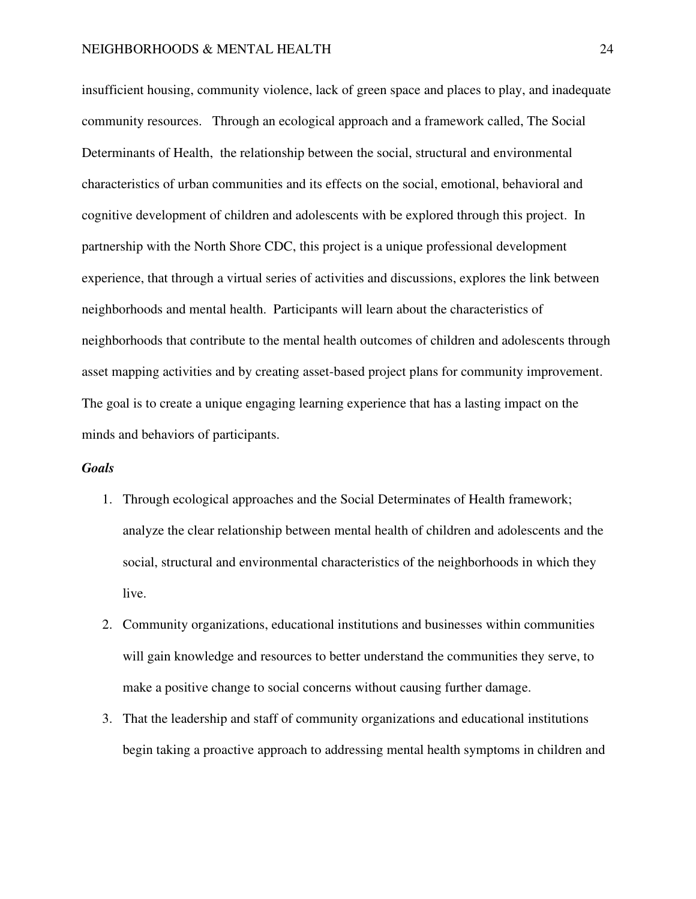insufficient housing, community violence, lack of green space and places to play, and inadequate community resources. Through an ecological approach and a framework called, The Social Determinants of Health, the relationship between the social, structural and environmental characteristics of urban communities and its effects on the social, emotional, behavioral and cognitive development of children and adolescents with be explored through this project. In partnership with the North Shore CDC, this project is a unique professional development experience, that through a virtual series of activities and discussions, explores the link between neighborhoods and mental health. Participants will learn about the characteristics of neighborhoods that contribute to the mental health outcomes of children and adolescents through asset mapping activities and by creating asset-based project plans for community improvement. The goal is to create a unique engaging learning experience that has a lasting impact on the minds and behaviors of participants.

# *Goals*

- 1. Through ecological approaches and the Social Determinates of Health framework; analyze the clear relationship between mental health of children and adolescents and the social, structural and environmental characteristics of the neighborhoods in which they live.
- 2. Community organizations, educational institutions and businesses within communities will gain knowledge and resources to better understand the communities they serve, to make a positive change to social concerns without causing further damage.
- 3. That the leadership and staff of community organizations and educational institutions begin taking a proactive approach to addressing mental health symptoms in children and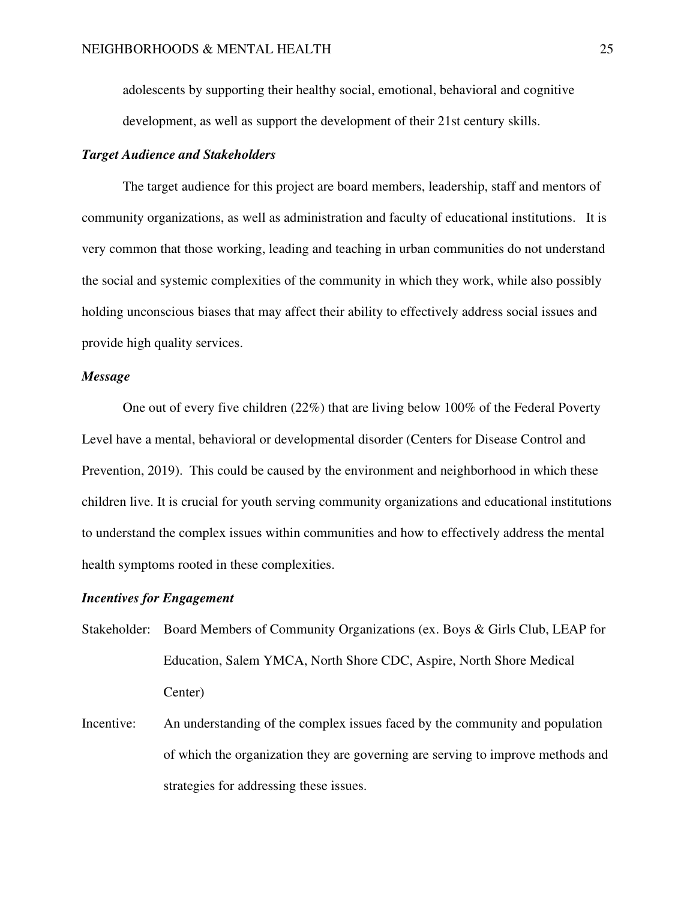adolescents by supporting their healthy social, emotional, behavioral and cognitive development, as well as support the development of their 21st century skills.

# *Target Audience and Stakeholders*

The target audience for this project are board members, leadership, staff and mentors of community organizations, as well as administration and faculty of educational institutions. It is very common that those working, leading and teaching in urban communities do not understand the social and systemic complexities of the community in which they work, while also possibly holding unconscious biases that may affect their ability to effectively address social issues and provide high quality services.

# *Message*

One out of every five children (22%) that are living below 100% of the Federal Poverty Level have a mental, behavioral or developmental disorder (Centers for Disease Control and Prevention, 2019). This could be caused by the environment and neighborhood in which these children live. It is crucial for youth serving community organizations and educational institutions to understand the complex issues within communities and how to effectively address the mental health symptoms rooted in these complexities.

# *Incentives for Engagement*

- Stakeholder: Board Members of Community Organizations (ex. Boys & Girls Club, LEAP for Education, Salem YMCA, North Shore CDC, Aspire, North Shore Medical Center)
- Incentive: An understanding of the complex issues faced by the community and population of which the organization they are governing are serving to improve methods and strategies for addressing these issues.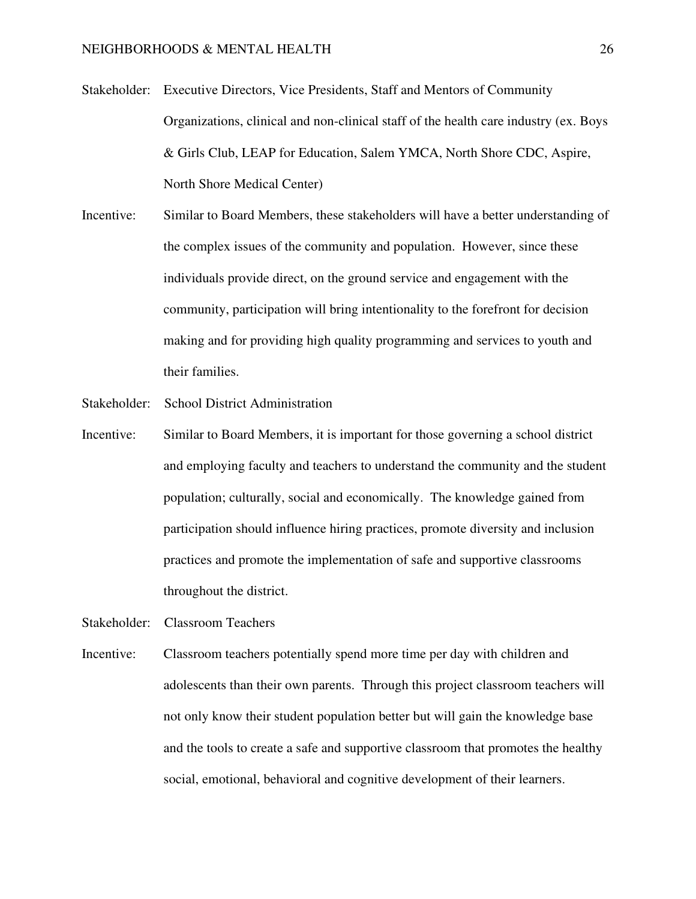- Stakeholder: Executive Directors, Vice Presidents, Staff and Mentors of Community Organizations, clinical and non-clinical staff of the health care industry (ex. Boys & Girls Club, LEAP for Education, Salem YMCA, North Shore CDC, Aspire, North Shore Medical Center)
- Incentive: Similar to Board Members, these stakeholders will have a better understanding of the complex issues of the community and population. However, since these individuals provide direct, on the ground service and engagement with the community, participation will bring intentionality to the forefront for decision making and for providing high quality programming and services to youth and their families.
- Stakeholder: School District Administration
- Incentive: Similar to Board Members, it is important for those governing a school district and employing faculty and teachers to understand the community and the student population; culturally, social and economically. The knowledge gained from participation should influence hiring practices, promote diversity and inclusion practices and promote the implementation of safe and supportive classrooms throughout the district.
- Stakeholder: Classroom Teachers
- Incentive: Classroom teachers potentially spend more time per day with children and adolescents than their own parents. Through this project classroom teachers will not only know their student population better but will gain the knowledge base and the tools to create a safe and supportive classroom that promotes the healthy social, emotional, behavioral and cognitive development of their learners.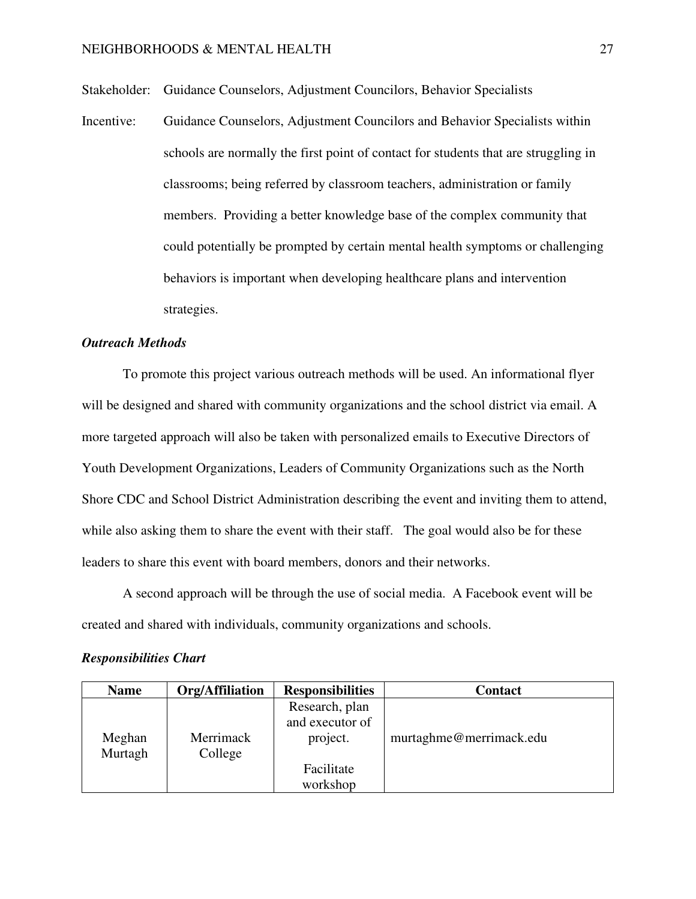Stakeholder: Guidance Counselors, Adjustment Councilors, Behavior Specialists

Incentive: Guidance Counselors, Adjustment Councilors and Behavior Specialists within schools are normally the first point of contact for students that are struggling in classrooms; being referred by classroom teachers, administration or family members. Providing a better knowledge base of the complex community that could potentially be prompted by certain mental health symptoms or challenging behaviors is important when developing healthcare plans and intervention strategies.

# *Outreach Methods*

To promote this project various outreach methods will be used. An informational flyer will be designed and shared with community organizations and the school district via email. A more targeted approach will also be taken with personalized emails to Executive Directors of Youth Development Organizations, Leaders of Community Organizations such as the North Shore CDC and School District Administration describing the event and inviting them to attend, while also asking them to share the event with their staff. The goal would also be for these leaders to share this event with board members, donors and their networks.

A second approach will be through the use of social media. A Facebook event will be created and shared with individuals, community organizations and schools.

# *Responsibilities Chart*

| <b>Name</b> | Org/Affiliation | <b>Responsibilities</b> | <b>Contact</b>          |
|-------------|-----------------|-------------------------|-------------------------|
|             |                 | Research, plan          |                         |
|             |                 | and executor of         |                         |
| Meghan      | Merrimack       | project.                | murtaghme@merrimack.edu |
| Murtagh     | College         |                         |                         |
|             |                 | Facilitate              |                         |
|             |                 | workshop                |                         |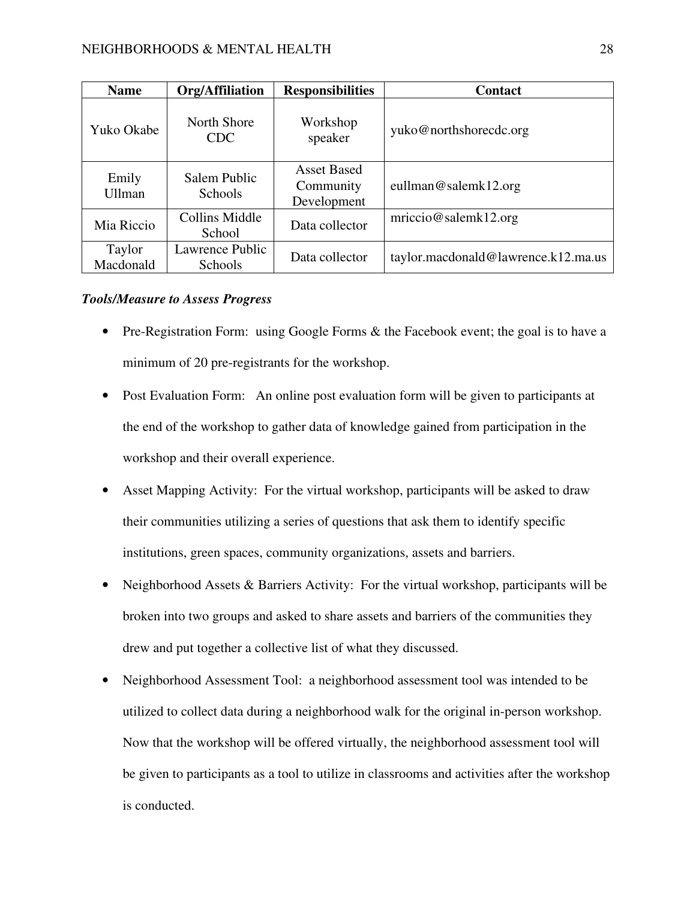| <b>Name</b>            | Org/Affiliation                | <b>Responsibilities</b>                        | <b>Contact</b>                      |  |
|------------------------|--------------------------------|------------------------------------------------|-------------------------------------|--|
| Yuko Okabe             | North Shore<br><b>CDC</b>      | Workshop<br>speaker                            | yuko@northshorecdc.org              |  |
| Emily<br><b>Ullman</b> | Salem Public<br><b>Schools</b> | <b>Asset Based</b><br>Community<br>Development | eullman@salemk12.org                |  |
| Mia Riccio             | Collins Middle<br>School       | Data collector                                 | mriccio@salemk12.org                |  |
| Taylor<br>Macdonald    | Lawrence Public<br>Schools     | Data collector                                 | taylor.macdonald@lawrence.k12.ma.us |  |

# *Tools/Measure to Assess Progress*

- Pre-Registration Form: using Google Forms & the Facebook event; the goal is to have a minimum of 20 pre-registrants for the workshop.
- Post Evaluation Form: An online post evaluation form will be given to participants at the end of the workshop to gather data of knowledge gained from participation in the workshop and their overall experience.
- Asset Mapping Activity: For the virtual workshop, participants will be asked to draw their communities utilizing a series of questions that ask them to identify specific institutions, green spaces, community organizations, assets and barriers.
- Neighborhood Assets & Barriers Activity: For the virtual workshop, participants will be broken into two groups and asked to share assets and barriers of the communities they drew and put together a collective list of what they discussed.
- Neighborhood Assessment Tool: a neighborhood assessment tool was intended to be utilized to collect data during a neighborhood walk for the original in-person workshop. Now that the workshop will be offered virtually, the neighborhood assessment tool will be given to participants as a tool to utilize in classrooms and activities after the workshop is conducted.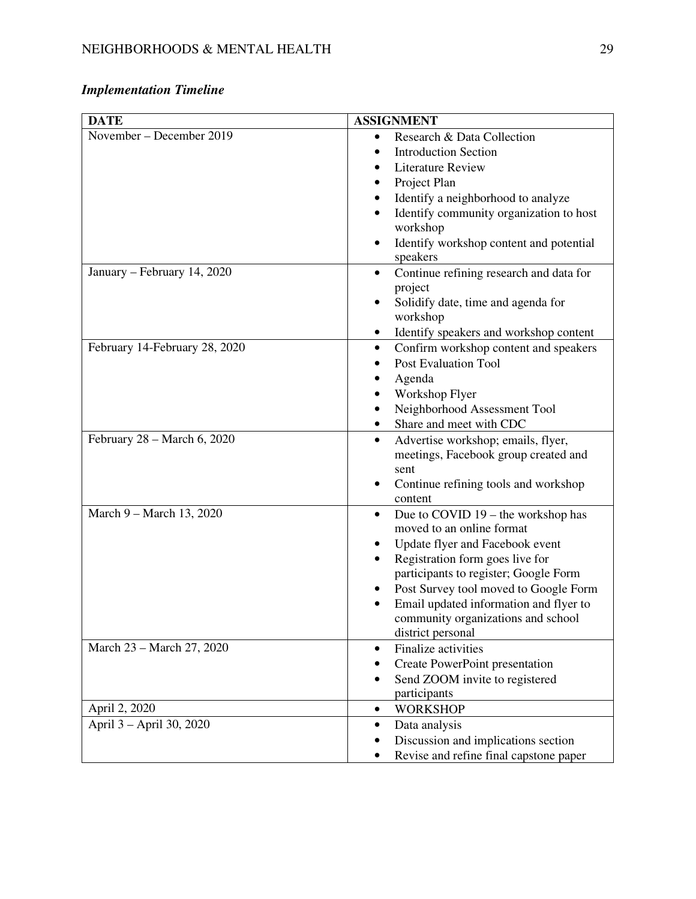# *Implementation Timeline*

| <b>DATE</b>                   | <b>ASSIGNMENT</b>                                                            |  |  |  |
|-------------------------------|------------------------------------------------------------------------------|--|--|--|
| November - December 2019      | Research & Data Collection<br>$\bullet$                                      |  |  |  |
|                               | <b>Introduction Section</b><br>$\bullet$                                     |  |  |  |
|                               | <b>Literature Review</b>                                                     |  |  |  |
|                               | Project Plan                                                                 |  |  |  |
|                               | Identify a neighborhood to analyze                                           |  |  |  |
|                               | Identify community organization to host                                      |  |  |  |
|                               | workshop                                                                     |  |  |  |
|                               | Identify workshop content and potential                                      |  |  |  |
|                               | speakers                                                                     |  |  |  |
| January - February 14, 2020   | Continue refining research and data for<br>$\bullet$                         |  |  |  |
|                               | project                                                                      |  |  |  |
|                               | Solidify date, time and agenda for                                           |  |  |  |
|                               | workshop                                                                     |  |  |  |
|                               | Identify speakers and workshop content<br>٠                                  |  |  |  |
| February 14-February 28, 2020 | Confirm workshop content and speakers<br>$\bullet$                           |  |  |  |
|                               | <b>Post Evaluation Tool</b>                                                  |  |  |  |
|                               | Agenda                                                                       |  |  |  |
|                               | Workshop Flyer                                                               |  |  |  |
|                               | Neighborhood Assessment Tool                                                 |  |  |  |
|                               | Share and meet with CDC                                                      |  |  |  |
| February 28 - March 6, 2020   | Advertise workshop; emails, flyer,<br>$\bullet$                              |  |  |  |
|                               | meetings, Facebook group created and                                         |  |  |  |
|                               | sent                                                                         |  |  |  |
|                               | Continue refining tools and workshop                                         |  |  |  |
|                               | content                                                                      |  |  |  |
| March 9 - March 13, 2020      | Due to COVID 19 – the workshop has<br>٠                                      |  |  |  |
|                               | moved to an online format                                                    |  |  |  |
|                               | Update flyer and Facebook event                                              |  |  |  |
|                               | Registration form goes live for                                              |  |  |  |
|                               | participants to register; Google Form                                        |  |  |  |
|                               | Post Survey tool moved to Google Form                                        |  |  |  |
|                               | Email updated information and flyer to<br>community organizations and school |  |  |  |
|                               | district personal                                                            |  |  |  |
| March 23 - March 27, 2020     | Finalize activities<br>$\bullet$                                             |  |  |  |
|                               | Create PowerPoint presentation                                               |  |  |  |
|                               | Send ZOOM invite to registered                                               |  |  |  |
|                               | participants                                                                 |  |  |  |
| April 2, 2020                 | <b>WORKSHOP</b><br>$\bullet$                                                 |  |  |  |
| April 3 - April 30, 2020      | Data analysis<br>$\bullet$                                                   |  |  |  |
|                               | Discussion and implications section                                          |  |  |  |
|                               | Revise and refine final capstone paper                                       |  |  |  |
|                               |                                                                              |  |  |  |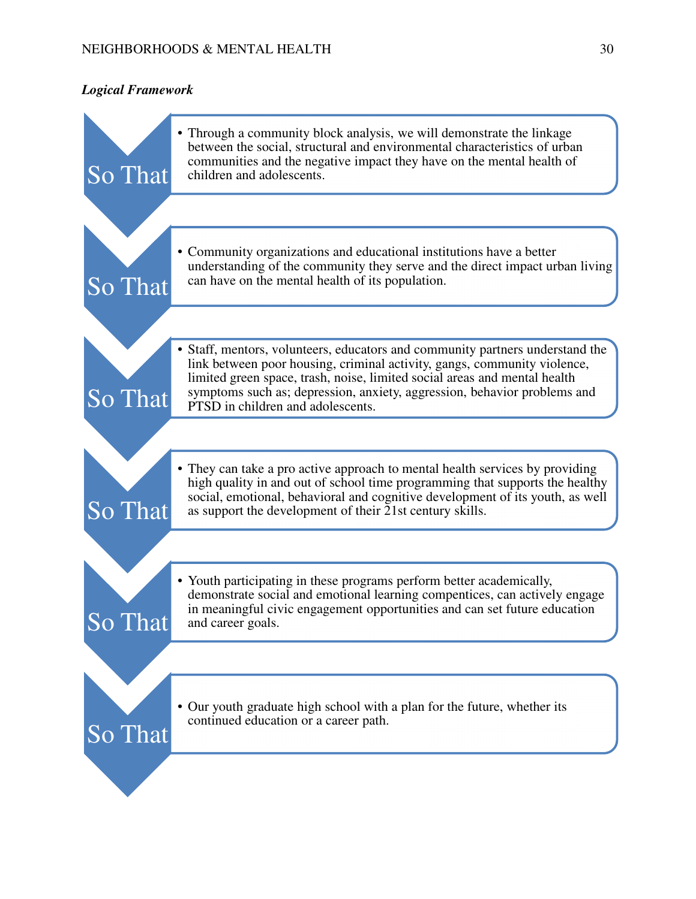# *Logical Framework*

| So That | • Through a community block analysis, we will demonstrate the linkage<br>between the social, structural and environmental characteristics of urban<br>communities and the negative impact they have on the mental health of<br>children and adolescents.                                                                                                |
|---------|---------------------------------------------------------------------------------------------------------------------------------------------------------------------------------------------------------------------------------------------------------------------------------------------------------------------------------------------------------|
|         |                                                                                                                                                                                                                                                                                                                                                         |
| So That | • Community organizations and educational institutions have a better<br>understanding of the community they serve and the direct impact urban living<br>can have on the mental health of its population.                                                                                                                                                |
|         |                                                                                                                                                                                                                                                                                                                                                         |
| So That | • Staff, mentors, volunteers, educators and community partners understand the<br>link between poor housing, criminal activity, gangs, community violence,<br>limited green space, trash, noise, limited social areas and mental health<br>symptoms such as; depression, anxiety, aggression, behavior problems and<br>PTSD in children and adolescents. |
|         |                                                                                                                                                                                                                                                                                                                                                         |
| So That | • They can take a pro active approach to mental health services by providing<br>high quality in and out of school time programming that supports the healthy<br>social, emotional, behavioral and cognitive development of its youth, as well<br>as support the development of their 21st century skills.                                               |
|         |                                                                                                                                                                                                                                                                                                                                                         |
| So That | • Youth participating in these programs perform better academically,<br>demonstrate social and emotional learning compentices, can actively engage<br>in meaningful civic engagement opportunities and can set future education<br>and career goals.                                                                                                    |
|         |                                                                                                                                                                                                                                                                                                                                                         |
| So That | • Our youth graduate high school with a plan for the future, whether its<br>continued education or a career path.                                                                                                                                                                                                                                       |
|         |                                                                                                                                                                                                                                                                                                                                                         |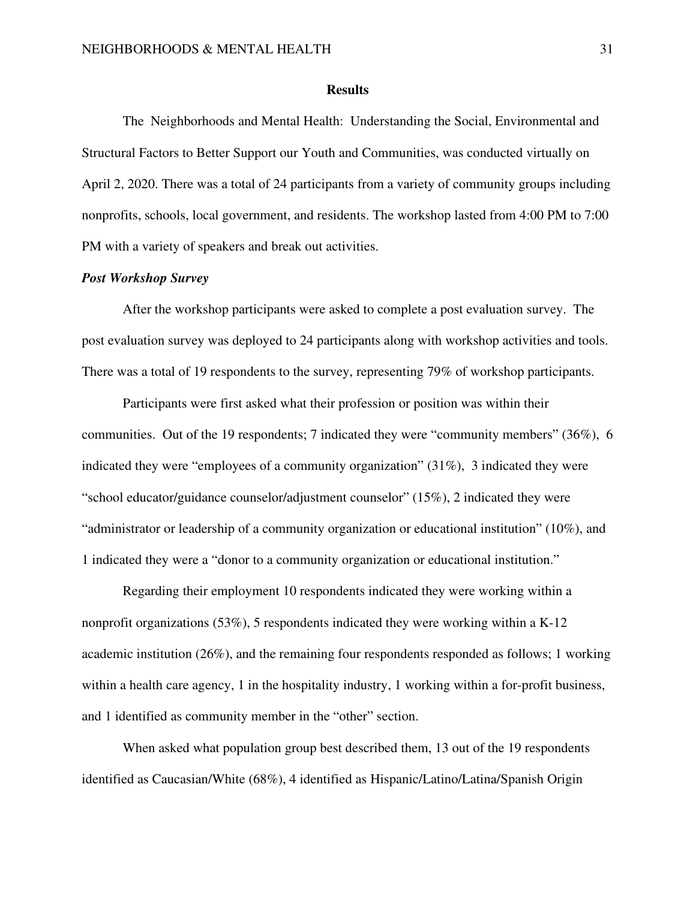#### **Results**

 The Neighborhoods and Mental Health: Understanding the Social, Environmental and Structural Factors to Better Support our Youth and Communities, was conducted virtually on April 2, 2020. There was a total of 24 participants from a variety of community groups including nonprofits, schools, local government, and residents. The workshop lasted from 4:00 PM to 7:00 PM with a variety of speakers and break out activities.

# *Post Workshop Survey*

 After the workshop participants were asked to complete a post evaluation survey. The post evaluation survey was deployed to 24 participants along with workshop activities and tools. There was a total of 19 respondents to the survey, representing 79% of workshop participants.

Participants were first asked what their profession or position was within their communities. Out of the 19 respondents; 7 indicated they were "community members" (36%), 6 indicated they were "employees of a community organization" (31%), 3 indicated they were "school educator/guidance counselor/adjustment counselor"  $(15\%)$ , 2 indicated they were "administrator or leadership of a community organization or educational institution" (10%), and 1 indicated they were a "donor to a community organization or educational institution."

Regarding their employment 10 respondents indicated they were working within a nonprofit organizations (53%), 5 respondents indicated they were working within a K-12 academic institution (26%), and the remaining four respondents responded as follows; 1 working within a health care agency, 1 in the hospitality industry, 1 working within a for-profit business, and 1 identified as community member in the "other" section.

When asked what population group best described them, 13 out of the 19 respondents identified as Caucasian/White (68%), 4 identified as Hispanic/Latino/Latina/Spanish Origin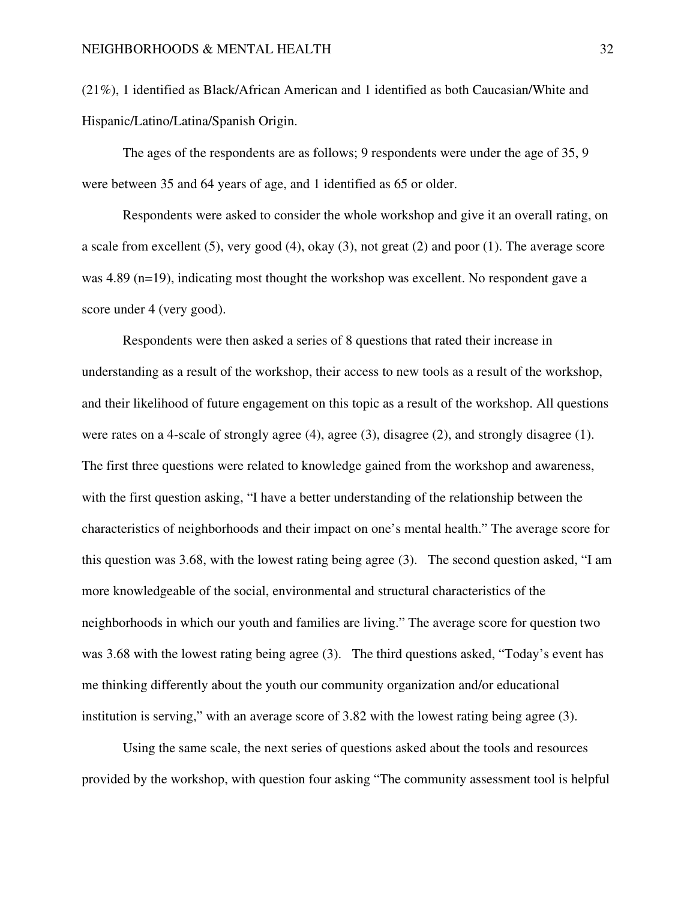(21%), 1 identified as Black/African American and 1 identified as both Caucasian/White and Hispanic/Latino/Latina/Spanish Origin.

The ages of the respondents are as follows; 9 respondents were under the age of 35, 9 were between 35 and 64 years of age, and 1 identified as 65 or older.

 Respondents were asked to consider the whole workshop and give it an overall rating, on a scale from excellent (5), very good (4), okay (3), not great (2) and poor (1). The average score was 4.89 (n=19), indicating most thought the workshop was excellent. No respondent gave a score under 4 (very good).

 Respondents were then asked a series of 8 questions that rated their increase in understanding as a result of the workshop, their access to new tools as a result of the workshop, and their likelihood of future engagement on this topic as a result of the workshop. All questions were rates on a 4-scale of strongly agree (4), agree (3), disagree (2), and strongly disagree (1). The first three questions were related to knowledge gained from the workshop and awareness, with the first question asking, "I have a better understanding of the relationship between the characteristics of neighborhoods and their impact on one's mental health." The average score for this question was 3.68, with the lowest rating being agree (3). The second question asked, "I am more knowledgeable of the social, environmental and structural characteristics of the neighborhoods in which our youth and families are living." The average score for question two was 3.68 with the lowest rating being agree (3). The third questions asked, "Today's event has me thinking differently about the youth our community organization and/or educational institution is serving," with an average score of 3.82 with the lowest rating being agree (3).

 Using the same scale, the next series of questions asked about the tools and resources provided by the workshop, with question four asking "The community assessment tool is helpful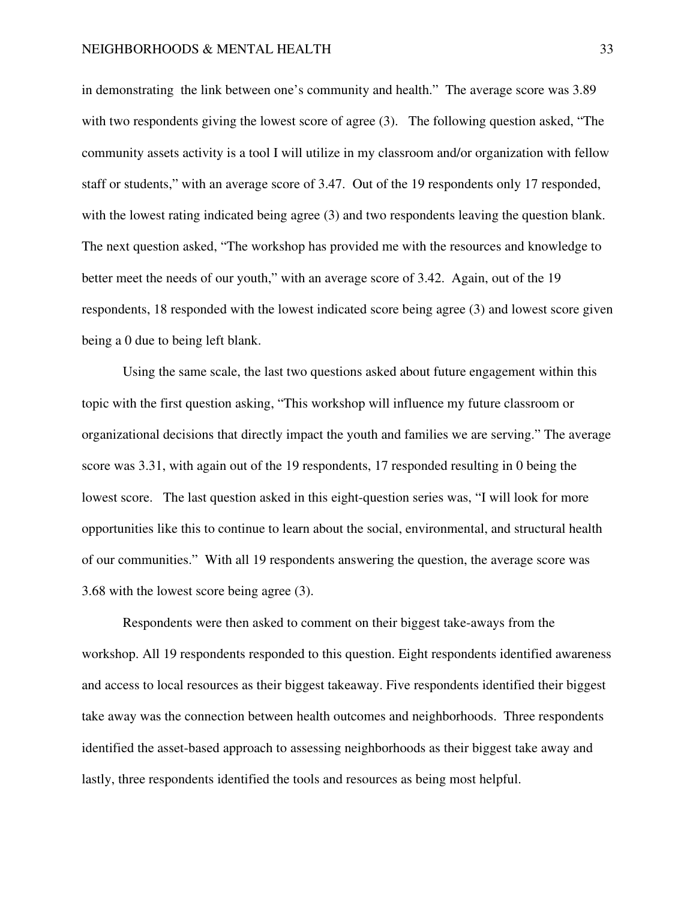in demonstrating the link between one's community and health." The average score was 3.89 with two respondents giving the lowest score of agree (3). The following question asked, "The community assets activity is a tool I will utilize in my classroom and/or organization with fellow staff or students," with an average score of 3.47. Out of the 19 respondents only 17 responded, with the lowest rating indicated being agree (3) and two respondents leaving the question blank. The next question asked, "The workshop has provided me with the resources and knowledge to better meet the needs of our youth," with an average score of 3.42. Again, out of the 19 respondents, 18 responded with the lowest indicated score being agree (3) and lowest score given being a 0 due to being left blank.

 Using the same scale, the last two questions asked about future engagement within this topic with the first question asking, "This workshop will influence my future classroom or organizational decisions that directly impact the youth and families we are serving." The average score was 3.31, with again out of the 19 respondents, 17 responded resulting in 0 being the lowest score. The last question asked in this eight-question series was, "I will look for more opportunities like this to continue to learn about the social, environmental, and structural health of our communities." With all 19 respondents answering the question, the average score was 3.68 with the lowest score being agree (3).

 Respondents were then asked to comment on their biggest take-aways from the workshop. All 19 respondents responded to this question. Eight respondents identified awareness and access to local resources as their biggest takeaway. Five respondents identified their biggest take away was the connection between health outcomes and neighborhoods. Three respondents identified the asset-based approach to assessing neighborhoods as their biggest take away and lastly, three respondents identified the tools and resources as being most helpful.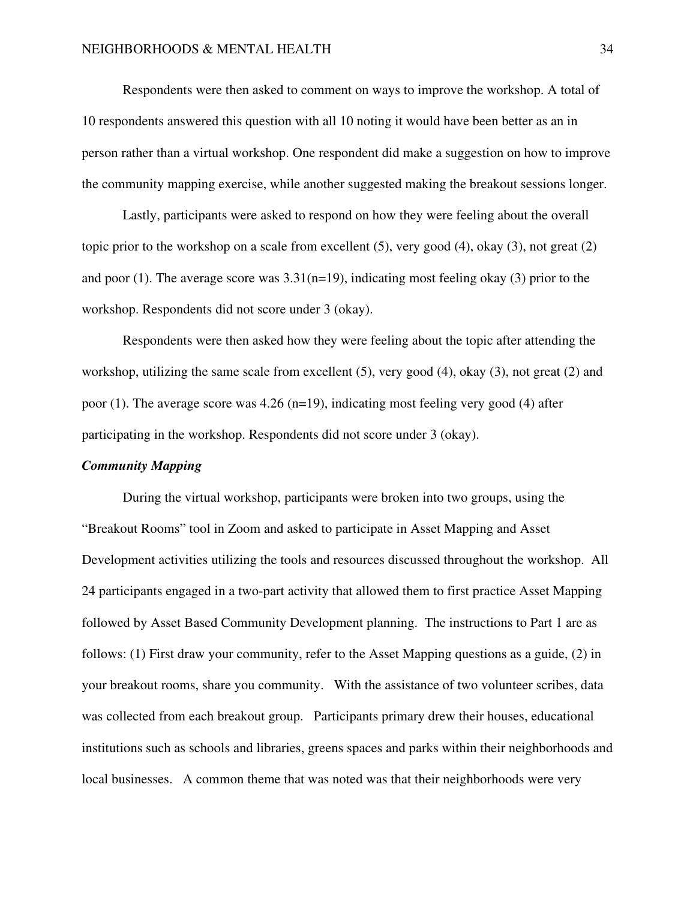Respondents were then asked to comment on ways to improve the workshop. A total of 10 respondents answered this question with all 10 noting it would have been better as an in person rather than a virtual workshop. One respondent did make a suggestion on how to improve the community mapping exercise, while another suggested making the breakout sessions longer.

 Lastly, participants were asked to respond on how they were feeling about the overall topic prior to the workshop on a scale from excellent (5), very good (4), okay (3), not great (2) and poor (1). The average score was  $3.31(n=19)$ , indicating most feeling okay (3) prior to the workshop. Respondents did not score under 3 (okay).

 Respondents were then asked how they were feeling about the topic after attending the workshop, utilizing the same scale from excellent (5), very good (4), okay (3), not great (2) and poor (1). The average score was  $4.26$  (n=19), indicating most feeling very good (4) after participating in the workshop. Respondents did not score under 3 (okay).

# *Community Mapping*

During the virtual workshop, participants were broken into two groups, using the "Breakout Rooms" tool in Zoom and asked to participate in Asset Mapping and Asset Development activities utilizing the tools and resources discussed throughout the workshop. All 24 participants engaged in a two-part activity that allowed them to first practice Asset Mapping followed by Asset Based Community Development planning. The instructions to Part 1 are as follows: (1) First draw your community, refer to the Asset Mapping questions as a guide, (2) in your breakout rooms, share you community. With the assistance of two volunteer scribes, data was collected from each breakout group. Participants primary drew their houses, educational institutions such as schools and libraries, greens spaces and parks within their neighborhoods and local businesses. A common theme that was noted was that their neighborhoods were very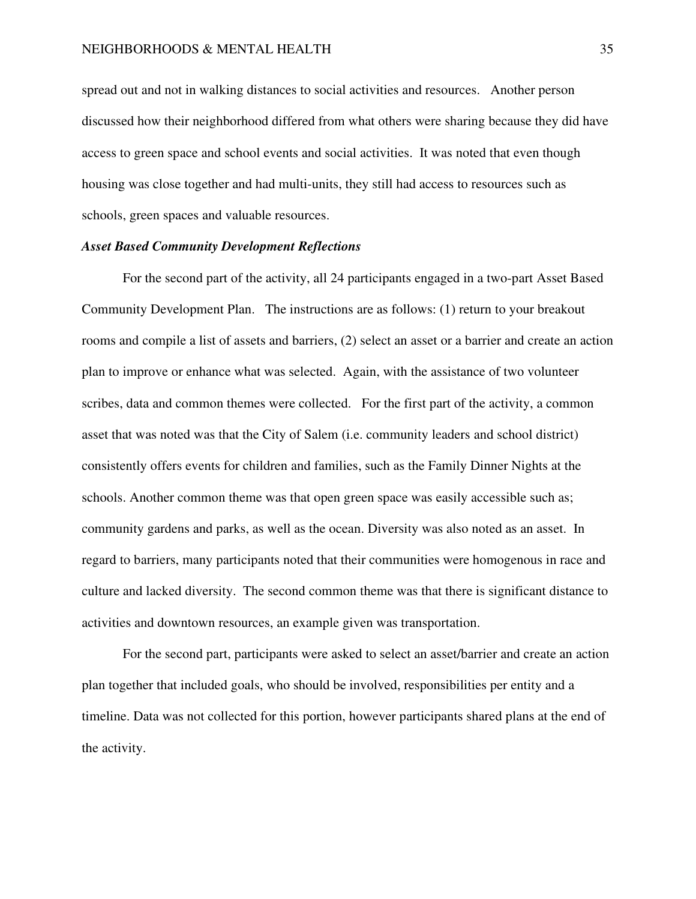spread out and not in walking distances to social activities and resources. Another person discussed how their neighborhood differed from what others were sharing because they did have access to green space and school events and social activities. It was noted that even though housing was close together and had multi-units, they still had access to resources such as schools, green spaces and valuable resources.

# *Asset Based Community Development Reflections*

For the second part of the activity, all 24 participants engaged in a two-part Asset Based Community Development Plan. The instructions are as follows: (1) return to your breakout rooms and compile a list of assets and barriers, (2) select an asset or a barrier and create an action plan to improve or enhance what was selected. Again, with the assistance of two volunteer scribes, data and common themes were collected. For the first part of the activity, a common asset that was noted was that the City of Salem (i.e. community leaders and school district) consistently offers events for children and families, such as the Family Dinner Nights at the schools. Another common theme was that open green space was easily accessible such as; community gardens and parks, as well as the ocean. Diversity was also noted as an asset. In regard to barriers, many participants noted that their communities were homogenous in race and culture and lacked diversity. The second common theme was that there is significant distance to activities and downtown resources, an example given was transportation.

 For the second part, participants were asked to select an asset/barrier and create an action plan together that included goals, who should be involved, responsibilities per entity and a timeline. Data was not collected for this portion, however participants shared plans at the end of the activity.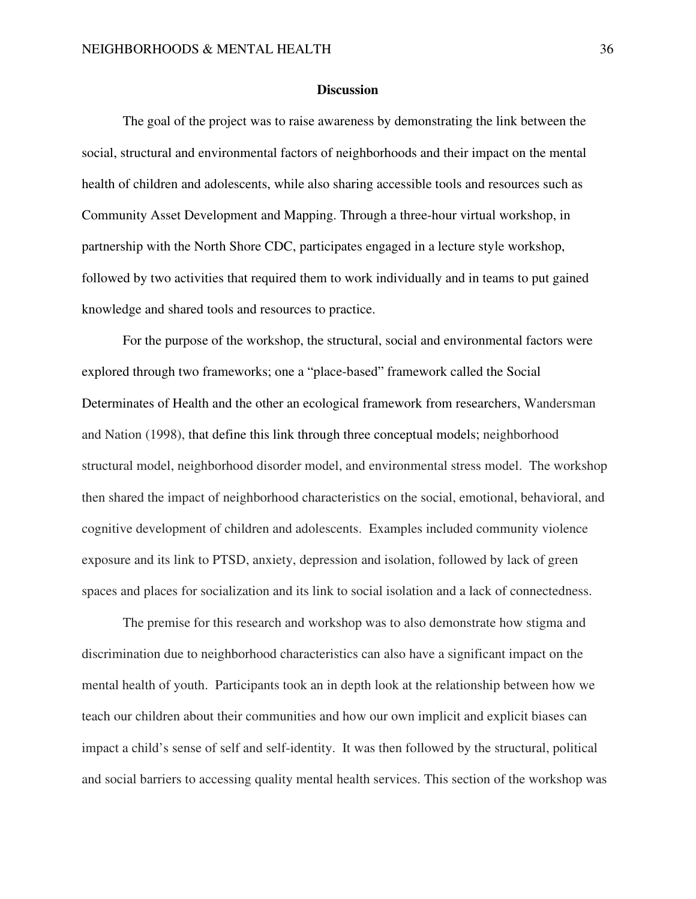# **Discussion**

 The goal of the project was to raise awareness by demonstrating the link between the social, structural and environmental factors of neighborhoods and their impact on the mental health of children and adolescents, while also sharing accessible tools and resources such as Community Asset Development and Mapping. Through a three-hour virtual workshop, in partnership with the North Shore CDC, participates engaged in a lecture style workshop, followed by two activities that required them to work individually and in teams to put gained knowledge and shared tools and resources to practice.

For the purpose of the workshop, the structural, social and environmental factors were explored through two frameworks; one a "place-based" framework called the Social Determinates of Health and the other an ecological framework from researchers, Wandersman and Nation (1998), that define this link through three conceptual models; neighborhood structural model, neighborhood disorder model, and environmental stress model. The workshop then shared the impact of neighborhood characteristics on the social, emotional, behavioral, and cognitive development of children and adolescents. Examples included community violence exposure and its link to PTSD, anxiety, depression and isolation, followed by lack of green spaces and places for socialization and its link to social isolation and a lack of connectedness.

The premise for this research and workshop was to also demonstrate how stigma and discrimination due to neighborhood characteristics can also have a significant impact on the mental health of youth. Participants took an in depth look at the relationship between how we teach our children about their communities and how our own implicit and explicit biases can impact a child's sense of self and self-identity. It was then followed by the structural, political and social barriers to accessing quality mental health services. This section of the workshop was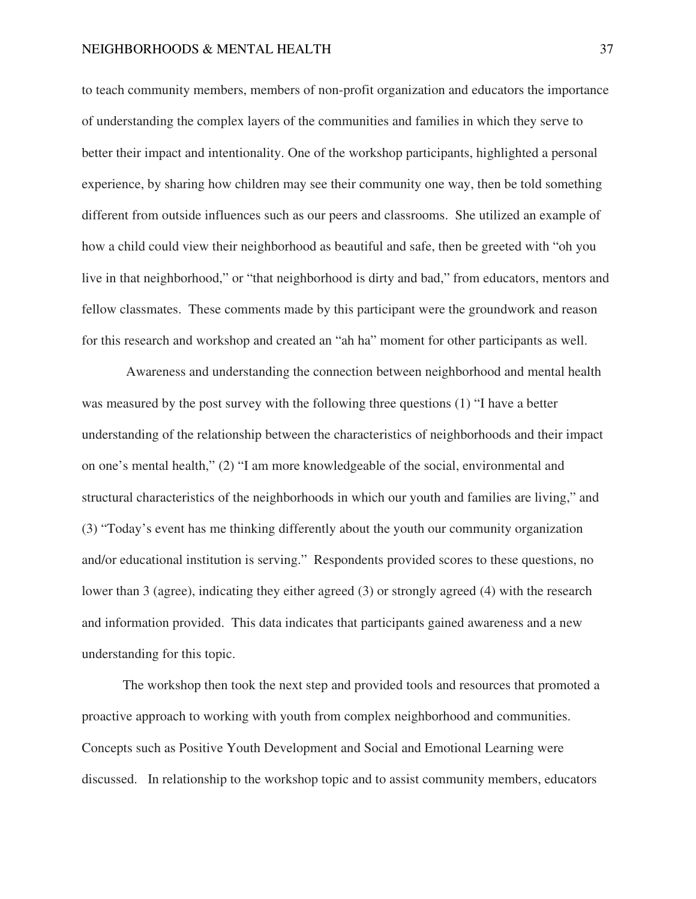to teach community members, members of non-profit organization and educators the importance of understanding the complex layers of the communities and families in which they serve to better their impact and intentionality. One of the workshop participants, highlighted a personal experience, by sharing how children may see their community one way, then be told something different from outside influences such as our peers and classrooms. She utilized an example of how a child could view their neighborhood as beautiful and safe, then be greeted with "oh you live in that neighborhood," or "that neighborhood is dirty and bad," from educators, mentors and fellow classmates. These comments made by this participant were the groundwork and reason for this research and workshop and created an "ah ha" moment for other participants as well.

 Awareness and understanding the connection between neighborhood and mental health was measured by the post survey with the following three questions (1) "I have a better understanding of the relationship between the characteristics of neighborhoods and their impact on one's mental health," (2) "I am more knowledgeable of the social, environmental and structural characteristics of the neighborhoods in which our youth and families are living," and (3) "Today's event has me thinking differently about the youth our community organization and/or educational institution is serving." Respondents provided scores to these questions, no lower than 3 (agree), indicating they either agreed (3) or strongly agreed (4) with the research and information provided. This data indicates that participants gained awareness and a new understanding for this topic.

The workshop then took the next step and provided tools and resources that promoted a proactive approach to working with youth from complex neighborhood and communities. Concepts such as Positive Youth Development and Social and Emotional Learning were discussed. In relationship to the workshop topic and to assist community members, educators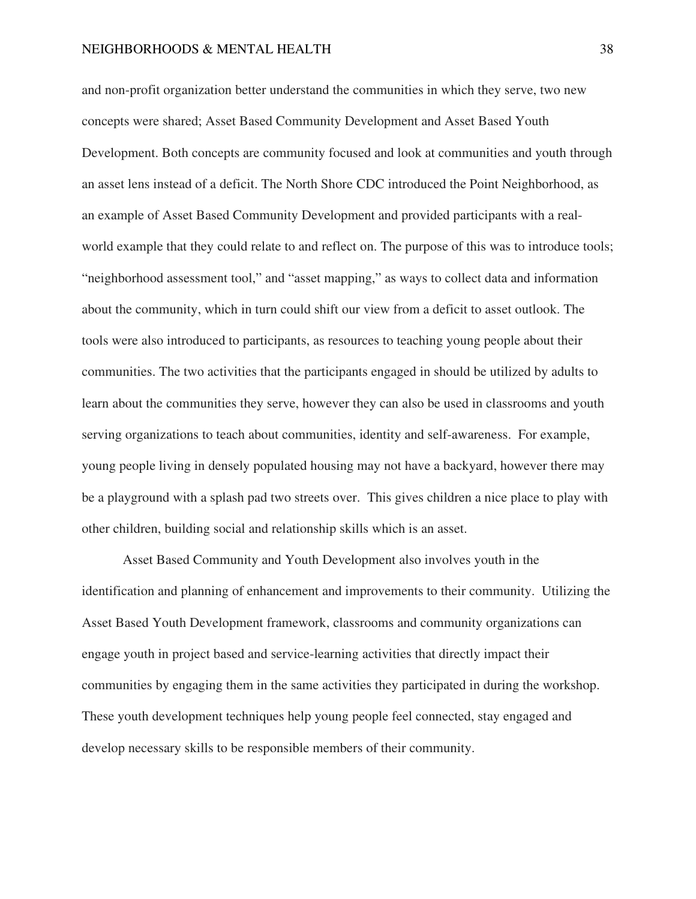and non-profit organization better understand the communities in which they serve, two new concepts were shared; Asset Based Community Development and Asset Based Youth Development. Both concepts are community focused and look at communities and youth through an asset lens instead of a deficit. The North Shore CDC introduced the Point Neighborhood, as an example of Asset Based Community Development and provided participants with a realworld example that they could relate to and reflect on. The purpose of this was to introduce tools; "neighborhood assessment tool," and "asset mapping," as ways to collect data and information about the community, which in turn could shift our view from a deficit to asset outlook. The tools were also introduced to participants, as resources to teaching young people about their communities. The two activities that the participants engaged in should be utilized by adults to learn about the communities they serve, however they can also be used in classrooms and youth serving organizations to teach about communities, identity and self-awareness. For example, young people living in densely populated housing may not have a backyard, however there may be a playground with a splash pad two streets over. This gives children a nice place to play with other children, building social and relationship skills which is an asset.

Asset Based Community and Youth Development also involves youth in the identification and planning of enhancement and improvements to their community. Utilizing the Asset Based Youth Development framework, classrooms and community organizations can engage youth in project based and service-learning activities that directly impact their communities by engaging them in the same activities they participated in during the workshop. These youth development techniques help young people feel connected, stay engaged and develop necessary skills to be responsible members of their community.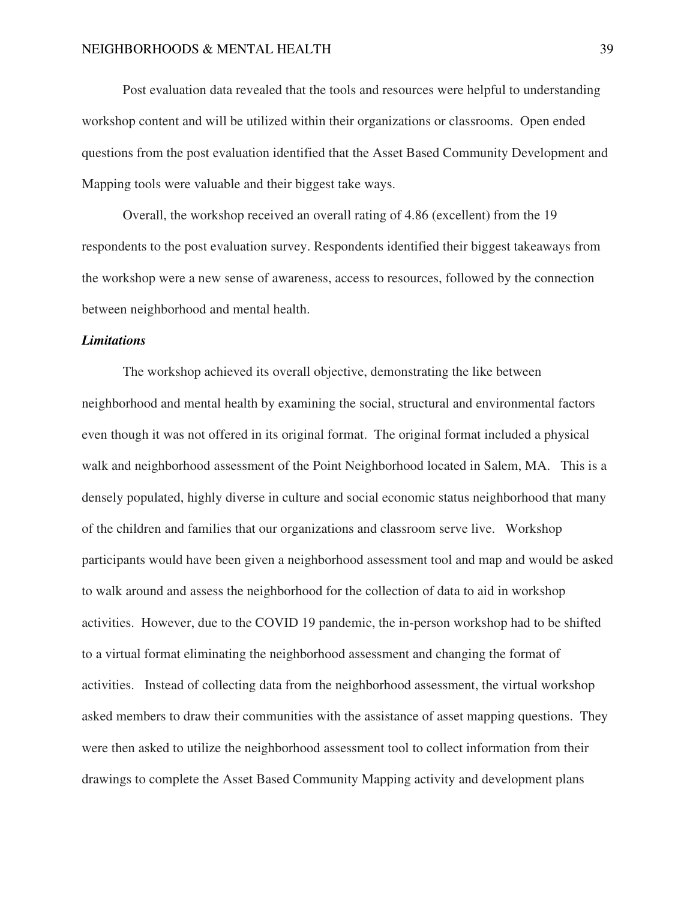Post evaluation data revealed that the tools and resources were helpful to understanding workshop content and will be utilized within their organizations or classrooms. Open ended questions from the post evaluation identified that the Asset Based Community Development and Mapping tools were valuable and their biggest take ways.

Overall, the workshop received an overall rating of 4.86 (excellent) from the 19 respondents to the post evaluation survey. Respondents identified their biggest takeaways from the workshop were a new sense of awareness, access to resources, followed by the connection between neighborhood and mental health.

# *Limitations*

The workshop achieved its overall objective, demonstrating the like between neighborhood and mental health by examining the social, structural and environmental factors even though it was not offered in its original format. The original format included a physical walk and neighborhood assessment of the Point Neighborhood located in Salem, MA. This is a densely populated, highly diverse in culture and social economic status neighborhood that many of the children and families that our organizations and classroom serve live. Workshop participants would have been given a neighborhood assessment tool and map and would be asked to walk around and assess the neighborhood for the collection of data to aid in workshop activities. However, due to the COVID 19 pandemic, the in-person workshop had to be shifted to a virtual format eliminating the neighborhood assessment and changing the format of activities. Instead of collecting data from the neighborhood assessment, the virtual workshop asked members to draw their communities with the assistance of asset mapping questions. They were then asked to utilize the neighborhood assessment tool to collect information from their drawings to complete the Asset Based Community Mapping activity and development plans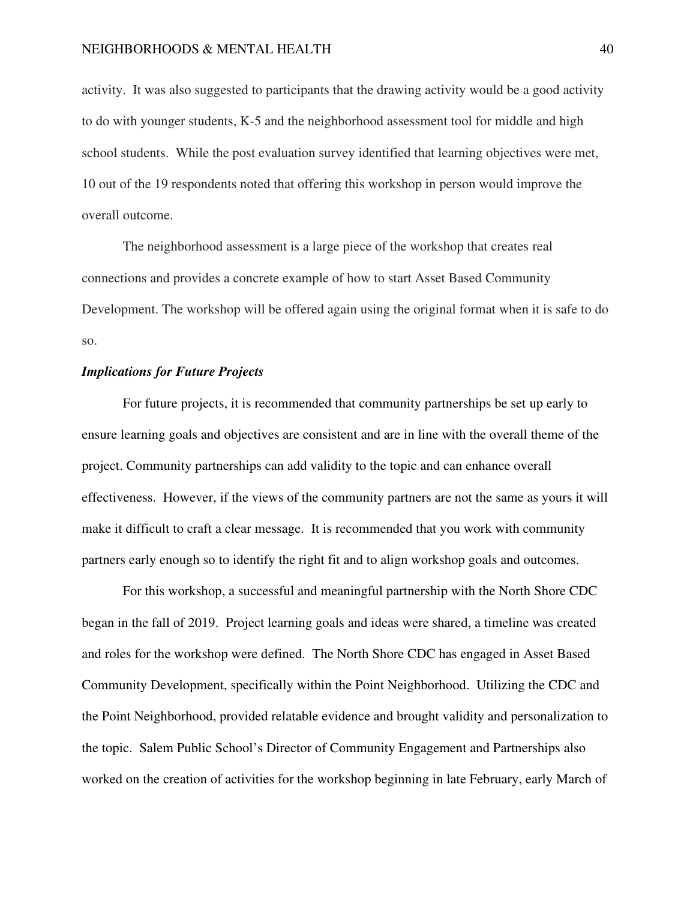activity. It was also suggested to participants that the drawing activity would be a good activity to do with younger students, K-5 and the neighborhood assessment tool for middle and high school students. While the post evaluation survey identified that learning objectives were met, 10 out of the 19 respondents noted that offering this workshop in person would improve the overall outcome.

The neighborhood assessment is a large piece of the workshop that creates real connections and provides a concrete example of how to start Asset Based Community Development. The workshop will be offered again using the original format when it is safe to do so.

# *Implications for Future Projects*

For future projects, it is recommended that community partnerships be set up early to ensure learning goals and objectives are consistent and are in line with the overall theme of the project. Community partnerships can add validity to the topic and can enhance overall effectiveness. However, if the views of the community partners are not the same as yours it will make it difficult to craft a clear message. It is recommended that you work with community partners early enough so to identify the right fit and to align workshop goals and outcomes.

For this workshop, a successful and meaningful partnership with the North Shore CDC began in the fall of 2019. Project learning goals and ideas were shared, a timeline was created and roles for the workshop were defined. The North Shore CDC has engaged in Asset Based Community Development, specifically within the Point Neighborhood. Utilizing the CDC and the Point Neighborhood, provided relatable evidence and brought validity and personalization to the topic. Salem Public School's Director of Community Engagement and Partnerships also worked on the creation of activities for the workshop beginning in late February, early March of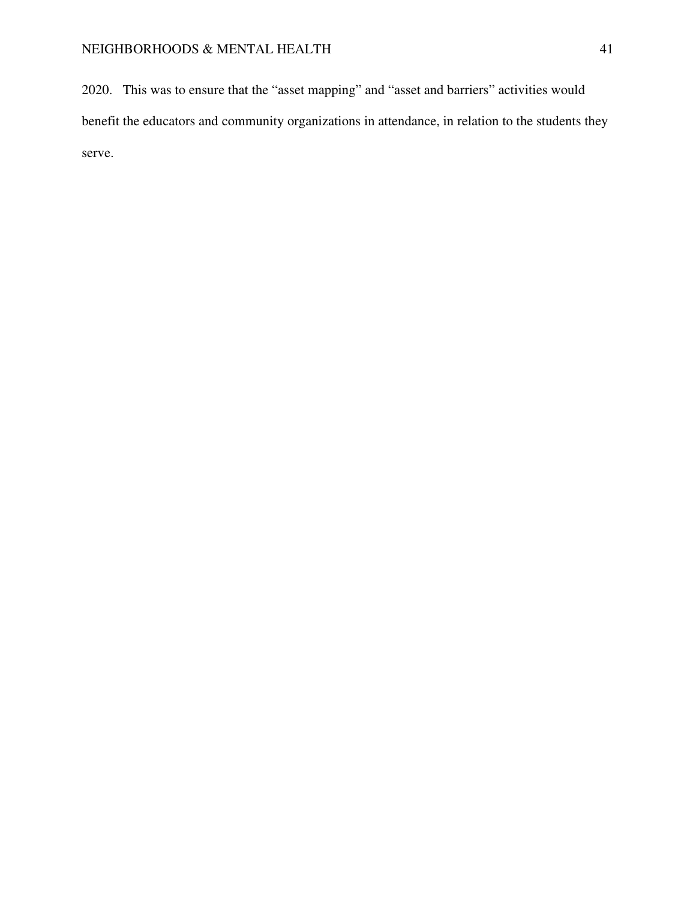2020. This was to ensure that the "asset mapping" and "asset and barriers" activities would benefit the educators and community organizations in attendance, in relation to the students they serve.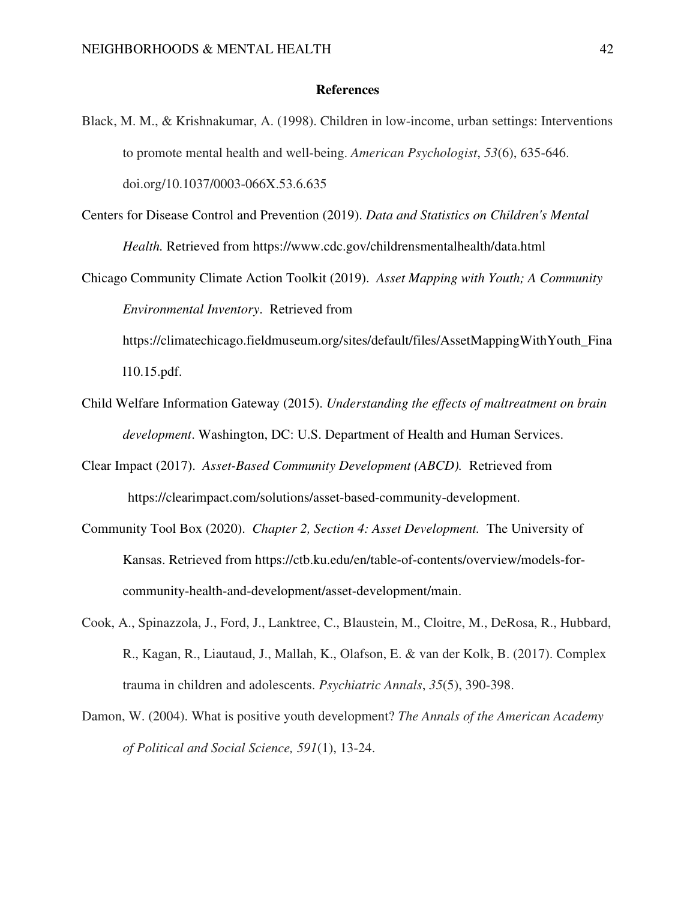# **References**

- Black, M. M., & Krishnakumar, A. (1998). Children in low-income, urban settings: Interventions to promote mental health and well-being. *American Psychologist*, *53*(6), 635-646. doi.org/10.1037/0003-066X.53.6.635
- Centers for Disease Control and Prevention (2019). *Data and Statistics on Children's Mental Health.* Retrieved from https://www.cdc.gov/childrensmentalhealth/data.html
- Chicago Community Climate Action Toolkit (2019). *Asset Mapping with Youth; A Community Environmental Inventory*. Retrieved from

https://climatechicago.fieldmuseum.org/sites/default/files/AssetMappingWithYouth\_Fina l10.15.pdf.

- Child Welfare Information Gateway (2015). *Understanding the effects of maltreatment on brain development*. Washington, DC: U.S. Department of Health and Human Services.
- Clear Impact (2017). *Asset-Based Community Development (ABCD).* Retrieved from https://clearimpact.com/solutions/asset-based-community-development.
- Community Tool Box (2020). *Chapter 2, Section 4: Asset Development.* The University of Kansas. Retrieved from https://ctb.ku.edu/en/table-of-contents/overview/models-forcommunity-health-and-development/asset-development/main.
- Cook, A., Spinazzola, J., Ford, J., Lanktree, C., Blaustein, M., Cloitre, M., DeRosa, R., Hubbard, R., Kagan, R., Liautaud, J., Mallah, K., Olafson, E. & van der Kolk, B. (2017). Complex trauma in children and adolescents. *Psychiatric Annals*, *35*(5), 390-398.
- Damon, W. (2004). What is positive youth development? *The Annals of the American Academy of Political and Social Science, 591*(1), 13-24.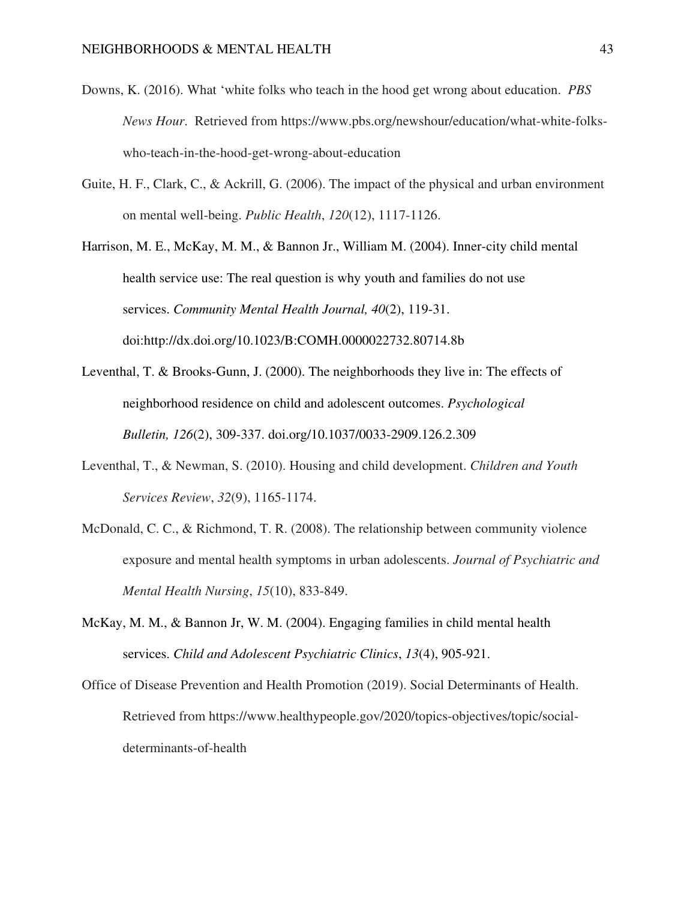- Downs, K. (2016). What 'white folks who teach in the hood get wrong about education. *PBS News Hour*. Retrieved from https://www.pbs.org/newshour/education/what-white-folkswho-teach-in-the-hood-get-wrong-about-education
- Guite, H. F., Clark, C., & Ackrill, G. (2006). The impact of the physical and urban environment on mental well-being. *Public Health*, *120*(12), 1117-1126.

Harrison, M. E., McKay, M. M., & Bannon Jr., William M. (2004). Inner-city child mental health service use: The real question is why youth and families do not use services. *Community Mental Health Journal, 40*(2), 119-31. doi:http://dx.doi.org/10.1023/B:COMH.0000022732.80714.8b

- Leventhal, T. & Brooks-Gunn, J. (2000). The neighborhoods they live in: The effects of neighborhood residence on child and adolescent outcomes. *Psychological Bulletin, 126*(2), 309-337. doi.org/10.1037/0033-2909.126.2.309
- Leventhal, T., & Newman, S. (2010). Housing and child development. *Children and Youth Services Review*, *32*(9), 1165-1174.
- McDonald, C. C., & Richmond, T. R. (2008). The relationship between community violence exposure and mental health symptoms in urban adolescents. *Journal of Psychiatric and Mental Health Nursing*, *15*(10), 833-849.
- McKay, M. M., & Bannon Jr, W. M. (2004). Engaging families in child mental health services. *Child and Adolescent Psychiatric Clinics*, *13*(4), 905-921.
- Office of Disease Prevention and Health Promotion (2019). Social Determinants of Health. Retrieved from https://www.healthypeople.gov/2020/topics-objectives/topic/socialdeterminants-of-health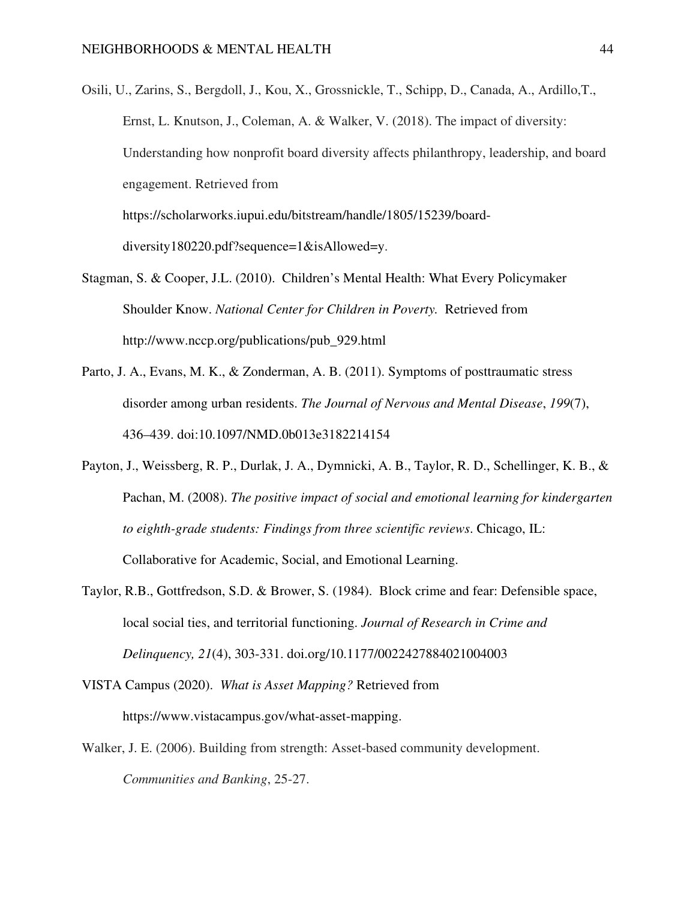- Osili, U., Zarins, S., Bergdoll, J., Kou, X., Grossnickle, T., Schipp, D., Canada, A., Ardillo,T., Ernst, L. Knutson, J., Coleman, A. & Walker, V. (2018). The impact of diversity: Understanding how nonprofit board diversity affects philanthropy, leadership, and board engagement. Retrieved from https://scholarworks.iupui.edu/bitstream/handle/1805/15239/boarddiversity180220.pdf?sequence=1&isAllowed=y.
- Stagman, S. & Cooper, J.L. (2010). Children's Mental Health: What Every Policymaker Shoulder Know. *National Center for Children in Poverty.* Retrieved from http://www.nccp.org/publications/pub\_929.html
- Parto, J. A., Evans, M. K., & Zonderman, A. B. (2011). Symptoms of posttraumatic stress disorder among urban residents. *The Journal of Nervous and Mental Disease*, *199*(7), 436–439. doi:10.1097/NMD.0b013e3182214154
- Payton, J., Weissberg, R. P., Durlak, J. A., Dymnicki, A. B., Taylor, R. D., Schellinger, K. B., & Pachan, M. (2008). *The positive impact of social and emotional learning for kindergarten to eighth-grade students: Findings from three scientific reviews*. Chicago, IL: Collaborative for Academic, Social, and Emotional Learning.
- Taylor, R.B., Gottfredson, S.D. & Brower, S. (1984). Block crime and fear: Defensible space, local social ties, and territorial functioning. *Journal of Research in Crime and Delinquency, 21*(4), 303-331. doi.org/10.1177/0022427884021004003
- VISTA Campus (2020). *What is Asset Mapping?* Retrieved from https://www.vistacampus.gov/what-asset-mapping.
- Walker, J. E. (2006). Building from strength: Asset-based community development. *Communities and Banking*, 25-27.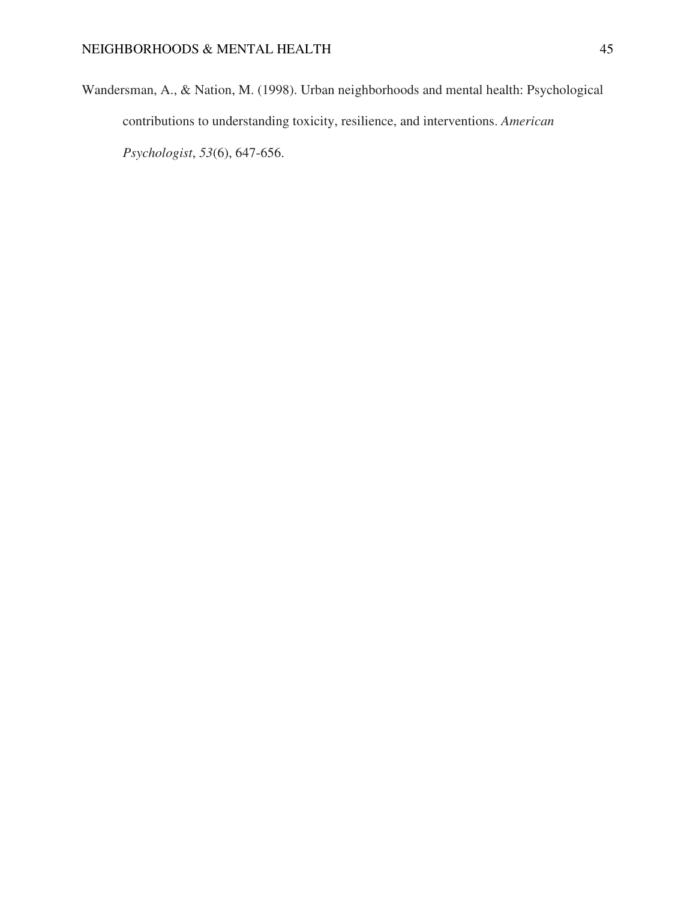Wandersman, A., & Nation, M. (1998). Urban neighborhoods and mental health: Psychological contributions to understanding toxicity, resilience, and interventions. *American Psychologist*, *53*(6), 647-656.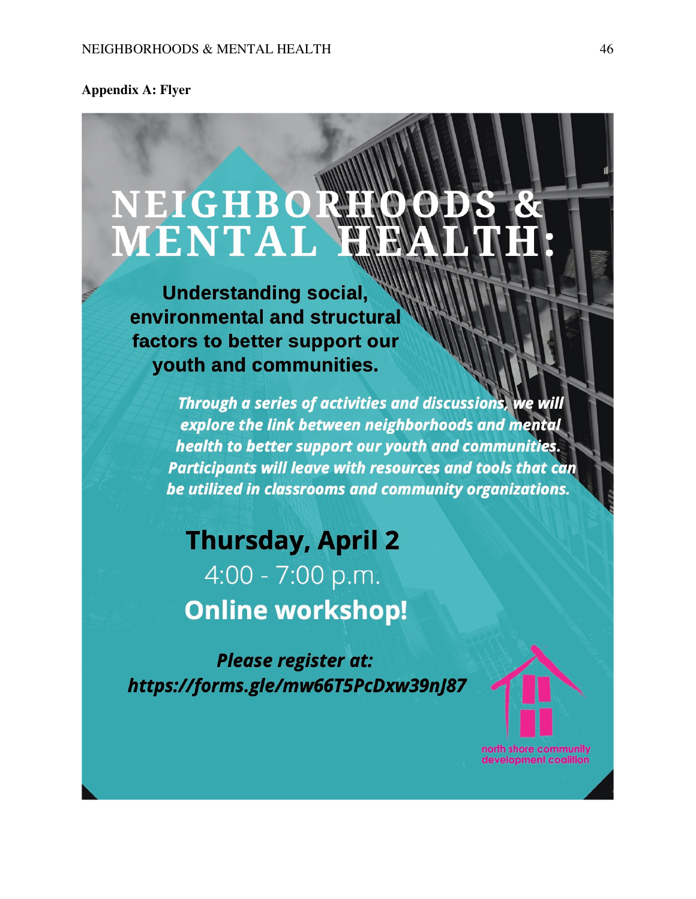**Appendix A: Flyer** 

# NEIGHBOR MENTAI

**Understanding social,** environmental and structural factors to better support our youth and communities.

> Through a series of activities and discussions, we will explore the link between neighborhoods and mental health to better support our youth and communities. Participants will leave with resources and tools that can be utilized in classrooms and community organizations.

**Thursday, April 2** 4:00 - 7:00 p.m. **Online workshop!** 

**Please register at:** https://forms.gle/mw66T5PcDxw39nJ87 north shore community development coalition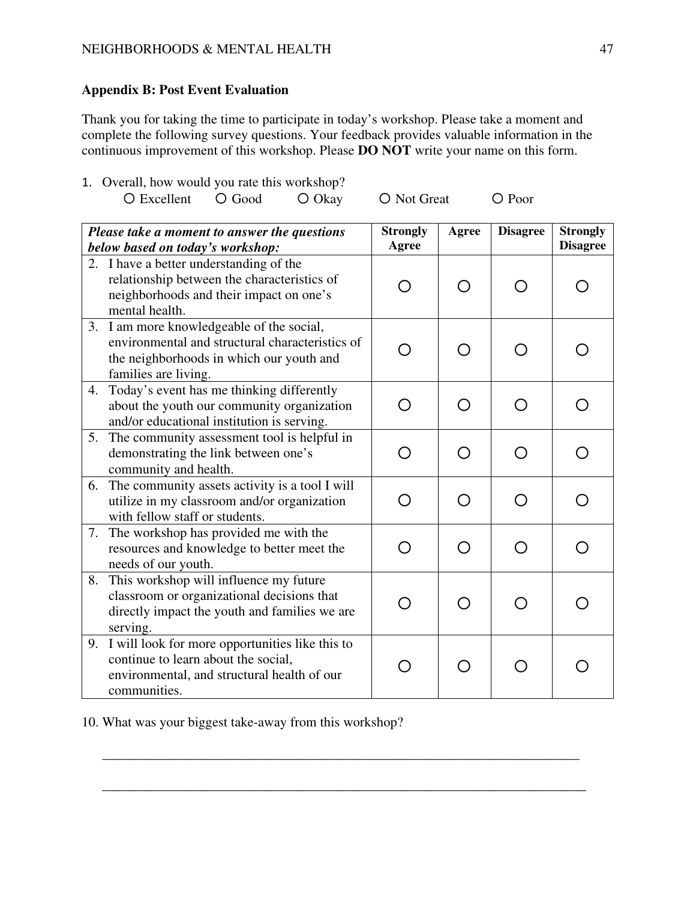# **Appendix B: Post Event Evaluation**

Thank you for taking the time to participate in today's workshop. Please take a moment and complete the following survey questions. Your feedback provides valuable information in the continuous improvement of this workshop. Please **DO NOT** write your name on this form.

1. Overall, how would you rate this workshop? 〇 Excellent 〇 Good 〇 Okay 〇 Not Great 〇 Poor

| Please take a moment to answer the questions |                                                                                                                                                                  | <b>Strongly</b> | Agree | <b>Disagree</b> | <b>Strongly</b> |
|----------------------------------------------|------------------------------------------------------------------------------------------------------------------------------------------------------------------|-----------------|-------|-----------------|-----------------|
| below based on today's workshop:             |                                                                                                                                                                  | <b>Agree</b>    |       |                 | <b>Disagree</b> |
|                                              | 2. I have a better understanding of the<br>relationship between the characteristics of<br>neighborhoods and their impact on one's<br>mental health.              |                 | ∩     |                 |                 |
|                                              | 3. I am more knowledgeable of the social,<br>environmental and structural characteristics of<br>the neighborhoods in which our youth and<br>families are living. |                 |       |                 |                 |
| 4.                                           | Today's event has me thinking differently<br>about the youth our community organization<br>and/or educational institution is serving.                            | Ω               | ∩     |                 |                 |
| 5.                                           | The community assessment tool is helpful in<br>demonstrating the link between one's<br>community and health.                                                     |                 | Ω     |                 |                 |
| 6.                                           | The community assets activity is a tool I will<br>utilize in my classroom and/or organization<br>with fellow staff or students.                                  |                 | ∩     |                 |                 |
| 7.                                           | The workshop has provided me with the<br>resources and knowledge to better meet the<br>needs of our youth.                                                       |                 | ∩     |                 |                 |
| 8.                                           | This workshop will influence my future<br>classroom or organizational decisions that<br>directly impact the youth and families we are<br>serving.                |                 |       |                 |                 |
| 9.                                           | I will look for more opportunities like this to<br>continue to learn about the social,<br>environmental, and structural health of our<br>communities.            |                 |       |                 |                 |

**\_\_\_\_\_\_\_\_\_\_\_\_\_\_\_\_\_\_\_\_\_\_\_\_\_\_\_\_\_\_\_\_\_\_\_\_\_\_\_\_\_\_\_\_\_\_\_\_\_\_\_\_\_\_\_\_\_\_\_\_\_\_\_\_\_\_\_\_\_\_** 

\_\_\_\_\_\_\_\_\_\_\_\_\_\_\_\_\_\_\_\_\_\_\_\_\_\_\_\_\_\_\_\_\_\_\_\_\_\_\_\_\_\_\_\_\_\_\_\_\_\_\_\_\_\_\_\_\_\_\_\_\_\_\_\_\_\_\_\_\_\_\_

10. What was your biggest take-away from this workshop?